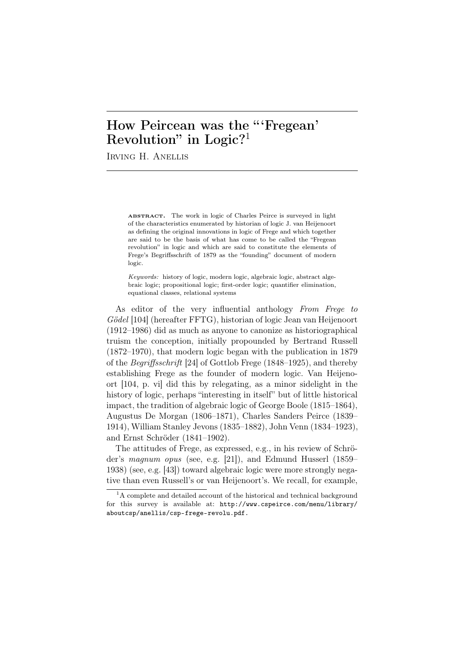# How Peircean was the "'Fregean' Revolution" in Logic?<sup>1</sup>

Irving H. Anellis

ABSTRACT. The work in logic of Charles Peirce is surveyed in light of the characteristics enumerated by historian of logic J. van Heijenoort as defining the original innovations in logic of Frege and which together are said to be the basis of what has come to be called the "Fregean revolution" in logic and which are said to constitute the elements of Frege's Begriffsschrift of 1879 as the "founding" document of modern logic.

*Keywords:* history of logic, modern logic, algebraic logic, abstract algebraic logic; propositional logic; first-order logic; quantifier elimination, equational classes, relational systems

As editor of the very influential anthology *From Frege to G¨odel* [104] (hereafter FFTG), historian of logic Jean van Heijenoort (1912–1986) did as much as anyone to canonize as historiographical truism the conception, initially propounded by Bertrand Russell (1872–1970), that modern logic began with the publication in 1879 of the *Begriffsschrift* [24] of Gottlob Frege (1848–1925), and thereby establishing Frege as the founder of modern logic. Van Heijenoort [104, p. vi] did this by relegating, as a minor sidelight in the history of logic, perhaps "interesting in itself" but of little historical impact, the tradition of algebraic logic of George Boole (1815–1864), Augustus De Morgan (1806–1871), Charles Sanders Peirce (1839– 1914), William Stanley Jevons (1835–1882), John Venn (1834–1923), and Ernst Schröder  $(1841-1902)$ .

The attitudes of Frege, as expressed, e.g., in his review of Schröder's *magnum opus* (see, e.g. [21]), and Edmund Husserl (1859– 1938) (see, e.g. [43]) toward algebraic logic were more strongly negative than even Russell's or van Heijenoort's. We recall, for example,

 ${}^{1}$ A complete and detailed account of the historical and technical background for this survey is available at: http://www.cspeirce.com/menu/library/ aboutcsp/anellis/csp-frege-revolu.pdf.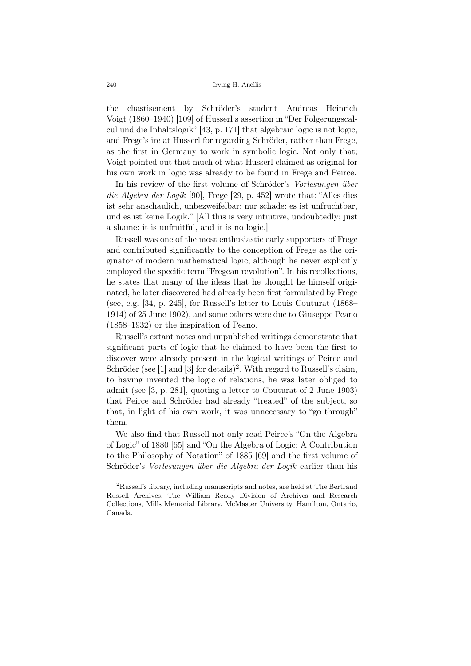the chastisement by Schröder's student Andreas Heinrich Voigt (1860–1940) [109] of Husserl's assertion in "Der Folgerungscalcul und die Inhaltslogik" [43, p. 171] that algebraic logic is not logic, and Frege's ire at Husserl for regarding Schröder, rather than Frege, as the first in Germany to work in symbolic logic. Not only that; Voigt pointed out that much of what Husserl claimed as original for his own work in logic was already to be found in Frege and Peirce.

In his review of the first volume of Schröder's *Vorlesungen über die Algebra der Logik* [90], Frege [29, p. 452] wrote that: "Alles dies ist sehr anschaulich, unbezweifelbar; nur schade: es ist unfruchtbar, und es ist keine Logik." [All this is very intuitive, undoubtedly; just a shame: it is unfruitful, and it is no logic.]

Russell was one of the most enthusiastic early supporters of Frege and contributed significantly to the conception of Frege as the originator of modern mathematical logic, although he never explicitly employed the specific term "Fregean revolution". In his recollections, he states that many of the ideas that he thought he himself originated, he later discovered had already been first formulated by Frege (see, e.g. [34, p. 245], for Russell's letter to Louis Couturat (1868– 1914) of 25 June 1902), and some others were due to Giuseppe Peano (1858–1932) or the inspiration of Peano.

Russell's extant notes and unpublished writings demonstrate that significant parts of logic that he claimed to have been the first to discover were already present in the logical writings of Peirce and Schröder (see [1] and [3] for details)<sup>2</sup>. With regard to Russell's claim, to having invented the logic of relations, he was later obliged to admit (see [3, p. 281], quoting a letter to Couturat of 2 June 1903) that Peirce and Schröder had already "treated" of the subject, so that, in light of his own work, it was unnecessary to "go through" them.

We also find that Russell not only read Peirce's "On the Algebra of Logic" of 1880 [65] and "On the Algebra of Logic: A Contribution to the Philosophy of Notation" of 1885 [69] and the first volume of Schröder's *Vorlesungen über die Algebra der Logik* earlier than his

<sup>2</sup>Russell's library, including manuscripts and notes, are held at The Bertrand Russell Archives, The William Ready Division of Archives and Research Collections, Mills Memorial Library, McMaster University, Hamilton, Ontario, Canada.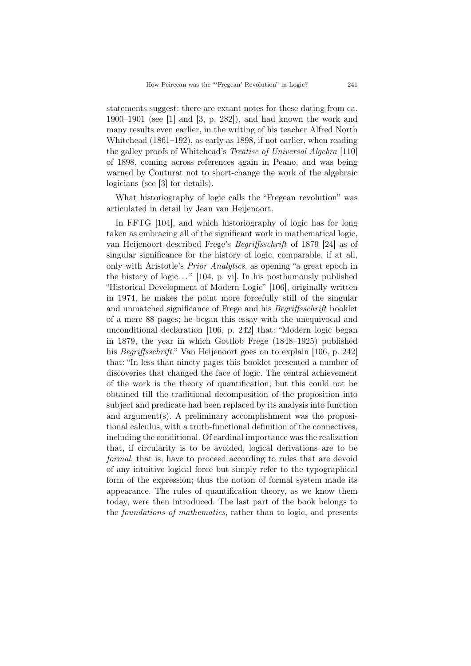statements suggest: there are extant notes for these dating from ca. 1900–1901 (see [1] and [3, p. 282]), and had known the work and many results even earlier, in the writing of his teacher Alfred North Whitehead (1861–192), as early as 1898, if not earlier, when reading the galley proofs of Whitehead's *Treatise of Universal Algebra* [110] of 1898, coming across references again in Peano, and was being warned by Couturat not to short-change the work of the algebraic logicians (see [3] for details).

What historiography of logic calls the "Fregean revolution" was articulated in detail by Jean van Heijenoort.

In FFTG [104], and which historiography of logic has for long taken as embracing all of the significant work in mathematical logic, van Heijenoort described Frege's *Begriffsschrift* of 1879 [24] as of singular significance for the history of logic, comparable, if at all, only with Aristotle's *Prior Analytics*, as opening "a great epoch in the history of logic..."  $[104, p. vi]$ . In his posthumously published "Historical Development of Modern Logic" [106], originally written in 1974, he makes the point more forcefully still of the singular and unmatched significance of Frege and his *Begriffsschrift* booklet of a mere 88 pages; he began this essay with the unequivocal and unconditional declaration [106, p. 242] that: "Modern logic began in 1879, the year in which Gottlob Frege (1848–1925) published his *Begriffsschrift*." Van Heijenoort goes on to explain [106, p. 242] that: "In less than ninety pages this booklet presented a number of discoveries that changed the face of logic. The central achievement of the work is the theory of quantification; but this could not be obtained till the traditional decomposition of the proposition into subject and predicate had been replaced by its analysis into function and argument(s). A preliminary accomplishment was the propositional calculus, with a truth-functional definition of the connectives, including the conditional. Of cardinal importance was the realization that, if circularity is to be avoided, logical derivations are to be *formal*, that is, have to proceed according to rules that are devoid of any intuitive logical force but simply refer to the typographical form of the expression; thus the notion of formal system made its appearance. The rules of quantification theory, as we know them today, were then introduced. The last part of the book belongs to the *foundations of mathematics*, rather than to logic, and presents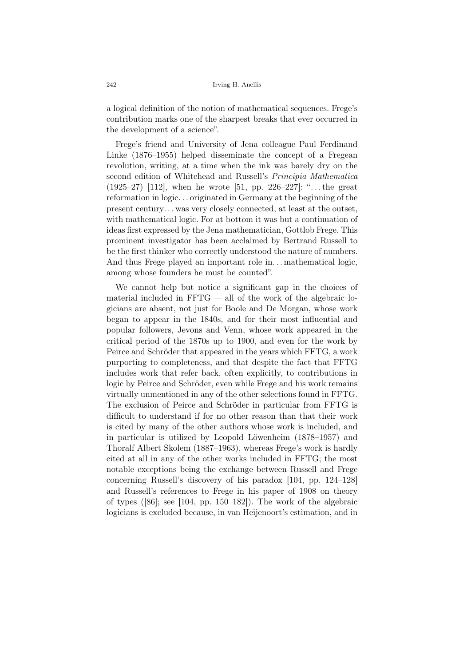a logical definition of the notion of mathematical sequences. Frege's contribution marks one of the sharpest breaks that ever occurred in the development of a science".

Frege's friend and University of Jena colleague Paul Ferdinand Linke (1876–1955) helped disseminate the concept of a Fregean revolution, writing, at a time when the ink was barely dry on the second edition of Whitehead and Russell's *Principia Mathematica* (1925–27) [112], when he wrote [51, pp. 226–227]: ". . . the great reformation in logic. . . originated in Germany at the beginning of the present century. . . was very closely connected, at least at the outset, with mathematical logic. For at bottom it was but a continuation of ideas first expressed by the Jena mathematician, Gottlob Frege. This prominent investigator has been acclaimed by Bertrand Russell to be the first thinker who correctly understood the nature of numbers. And thus Frege played an important role in... mathematical logic, among whose founders he must be counted".

We cannot help but notice a significant gap in the choices of material included in  $FFTG -$  all of the work of the algebraic logicians are absent, not just for Boole and De Morgan, whose work began to appear in the 1840s, and for their most influential and popular followers, Jevons and Venn, whose work appeared in the critical period of the 1870s up to 1900, and even for the work by Peirce and Schröder that appeared in the years which FFTG, a work purporting to completeness, and that despite the fact that FFTG includes work that refer back, often explicitly, to contributions in logic by Peirce and Schröder, even while Frege and his work remains virtually unmentioned in any of the other selections found in FFTG. The exclusion of Peirce and Schröder in particular from FFTG is difficult to understand if for no other reason than that their work is cited by many of the other authors whose work is included, and in particular is utilized by Leopold Löwenheim (1878–1957) and Thoralf Albert Skolem (1887–1963), whereas Frege's work is hardly cited at all in any of the other works included in FFTG; the most notable exceptions being the exchange between Russell and Frege concerning Russell's discovery of his paradox [104, pp. 124–128] and Russell's references to Frege in his paper of 1908 on theory of types ([86]; see [104, pp. 150–182]). The work of the algebraic logicians is excluded because, in van Heijenoort's estimation, and in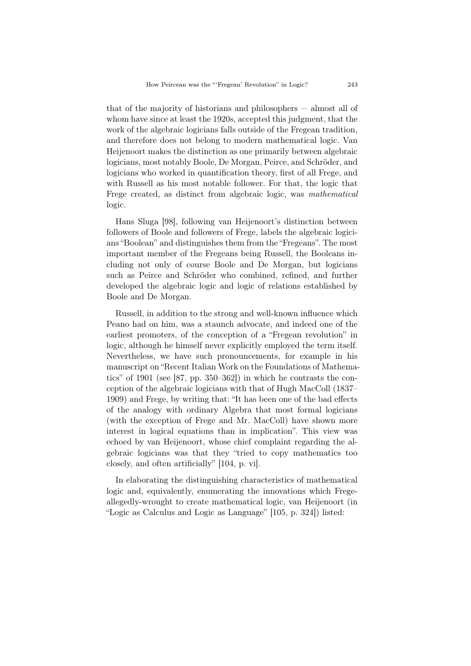that of the majority of historians and philosophers — almost all of whom have since at least the 1920s, accepted this judgment, that the work of the algebraic logicians falls outside of the Fregean tradition, and therefore does not belong to modern mathematical logic. Van Heijenoort makes the distinction as one primarily between algebraic logicians, most notably Boole, De Morgan, Peirce, and Schröder, and logicians who worked in quantification theory, first of all Frege, and with Russell as his most notable follower. For that, the logic that Frege created, as distinct from algebraic logic, was *mathematical* logic.

Hans Sluga [98], following van Heijenoort's distinction between followers of Boole and followers of Frege, labels the algebraic logicians "Boolean" and distinguishes them from the "Fregeans". The most important member of the Fregeans being Russell, the Booleans including not only of course Boole and De Morgan, but logicians such as Peirce and Schröder who combined, refined, and further developed the algebraic logic and logic of relations established by Boole and De Morgan.

Russell, in addition to the strong and well-known influence which Peano had on him, was a staunch advocate, and indeed one of the earliest promoters, of the conception of a "Fregean revolution" in logic, although he himself never explicitly employed the term itself. Nevertheless, we have such pronouncements, for example in his manuscript on "Recent Italian Work on the Foundations of Mathematics" of 1901 (see [87, pp. 350–362]) in which he contrasts the conception of the algebraic logicians with that of Hugh MacColl (1837– 1909) and Frege, by writing that: "It has been one of the bad effects of the analogy with ordinary Algebra that most formal logicians (with the exception of Frege and Mr. MacColl) have shown more interest in logical equations than in implication". This view was echoed by van Heijenoort, whose chief complaint regarding the algebraic logicians was that they "tried to copy mathematics too closely, and often artificially" [104, p. vi].

In elaborating the distinguishing characteristics of mathematical logic and, equivalently, enumerating the innovations which Fregeallegedly-wrought to create mathematical logic, van Heijenoort (in "Logic as Calculus and Logic as Language" [105, p. 324]) listed: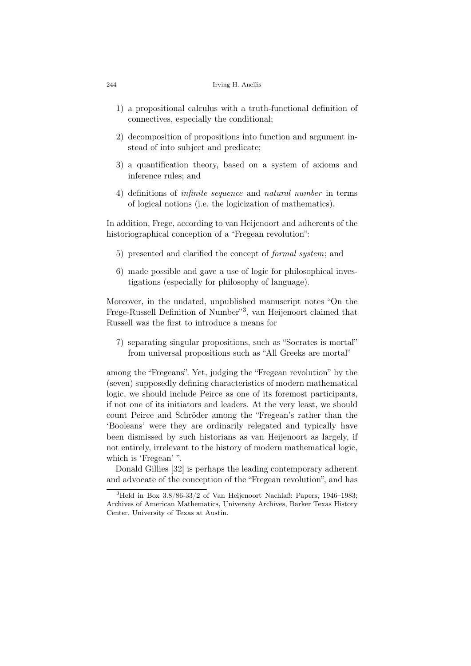#### 244 Irving H. Anellis

- 1) a propositional calculus with a truth-functional definition of connectives, especially the conditional;
- 2) decomposition of propositions into function and argument instead of into subject and predicate;
- 3) a quantification theory, based on a system of axioms and inference rules; and
- 4) definitions of *infinite sequence* and *natural number* in terms of logical notions (i.e. the logicization of mathematics).

In addition, Frege, according to van Heijenoort and adherents of the historiographical conception of a "Fregean revolution":

- 5) presented and clarified the concept of *formal system*; and
- 6) made possible and gave a use of logic for philosophical investigations (especially for philosophy of language).

Moreover, in the undated, unpublished manuscript notes "On the Frege-Russell Definition of Number"<sup>3</sup> , van Heijenoort claimed that Russell was the first to introduce a means for

7) separating singular propositions, such as "Socrates is mortal" from universal propositions such as "All Greeks are mortal"

among the "Fregeans". Yet, judging the "Fregean revolution" by the (seven) supposedly defining characteristics of modern mathematical logic, we should include Peirce as one of its foremost participants, if not one of its initiators and leaders. At the very least, we should count Peirce and Schröder among the "Fregean's rather than the 'Booleans' were they are ordinarily relegated and typically have been dismissed by such historians as van Heijenoort as largely, if not entirely, irrelevant to the history of modern mathematical logic, which is 'Fregean' ".

Donald Gillies [32] is perhaps the leading contemporary adherent and advocate of the conception of the "Fregean revolution", and has

 $3$ Held in Box  $3.8/86-33/2$  of Van Heijenoort Nachlaß: Papers, 1946–1983; Archives of American Mathematics, University Archives, Barker Texas History Center, University of Texas at Austin.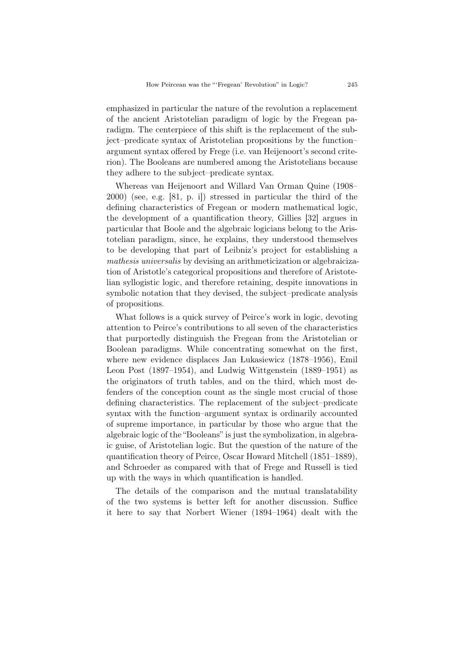emphasized in particular the nature of the revolution a replacement of the ancient Aristotelian paradigm of logic by the Fregean paradigm. The centerpiece of this shift is the replacement of the subject–predicate syntax of Aristotelian propositions by the function– argument syntax offered by Frege (i.e. van Heijenoort's second criterion). The Booleans are numbered among the Aristotelians because they adhere to the subject–predicate syntax.

Whereas van Heijenoort and Willard Van Orman Quine (1908– 2000) (see, e.g. [81, p. i]) stressed in particular the third of the defining characteristics of Fregean or modern mathematical logic, the development of a quantification theory, Gillies [32] argues in particular that Boole and the algebraic logicians belong to the Aristotelian paradigm, since, he explains, they understood themselves to be developing that part of Leibniz's project for establishing a *mathesis universalis* by devising an arithmeticization or algebraicization of Aristotle's categorical propositions and therefore of Aristotelian syllogistic logic, and therefore retaining, despite innovations in symbolic notation that they devised, the subject–predicate analysis of propositions.

What follows is a quick survey of Peirce's work in logic, devoting attention to Peirce's contributions to all seven of the characteristics that purportedly distinguish the Fregean from the Aristotelian or Boolean paradigms. While concentrating somewhat on the first, where new evidence displaces Jan Lukasiewicz (1878–1956), Emil Leon Post (1897–1954), and Ludwig Wittgenstein (1889–1951) as the originators of truth tables, and on the third, which most defenders of the conception count as the single most crucial of those defining characteristics. The replacement of the subject–predicate syntax with the function–argument syntax is ordinarily accounted of supreme importance, in particular by those who argue that the algebraic logic of the "Booleans" is just the symbolization, in algebraic guise, of Aristotelian logic. But the question of the nature of the quantification theory of Peirce, Oscar Howard Mitchell (1851–1889), and Schroeder as compared with that of Frege and Russell is tied up with the ways in which quantification is handled.

The details of the comparison and the mutual translatability of the two systems is better left for another discussion. Suffice it here to say that Norbert Wiener (1894–1964) dealt with the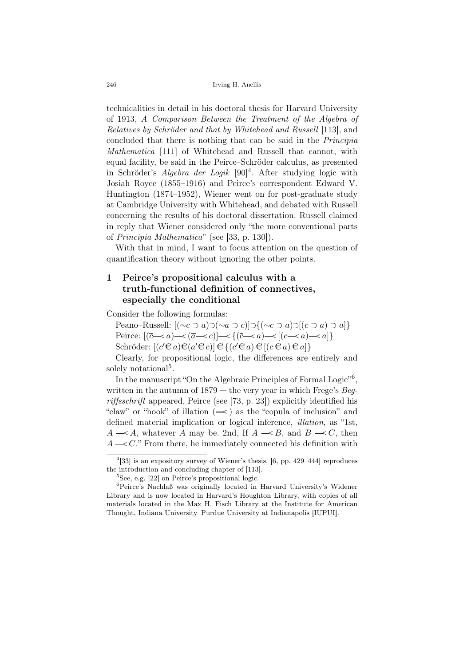technicalities in detail in his doctoral thesis for Harvard University of 1913, *A Comparison Between the Treatment of the Algebra of Relatives by Schröder and that by Whitehead and Russell* [113], and concluded that there is nothing that can be said in the *Principia Mathematica* [111] of Whitehead and Russell that cannot, with equal facility, be said in the Peirce–Schröder calculus, as presented in Schröder's *Algebra der Logik* [90]<sup>4</sup>. After studying logic with Josiah Royce (1855–1916) and Peirce's correspondent Edward V. Huntington (1874–1952), Wiener went on for post-graduate study at Cambridge University with Whitehead, and debated with Russell concerning the results of his doctoral dissertation. Russell claimed in reply that Wiener considered only "the more conventional parts of *Principia Mathematica*" (see [33, p. 130]).

With that in mind, I want to focus attention on the question of quantification theory without ignoring the other points.

# 1 Peirce's propositional calculus with a truth-functional definition of connectives, especially the conditional

Consider the following formulas:

Peano–Russell: [(*∼c ⊃ a*)*⊃*(*∼a ⊃ c*)]*⊃{*(*∼c ⊃ a*)*⊃*[(*c ⊃ a*) *⊃ a*]*}* Peirce:  $[(\overline{c} \rightarrow a) \rightarrow (\overline{a} \rightarrow c)] \rightarrow \{(\overline{c} \rightarrow a) \rightarrow (c \rightarrow a) \rightarrow a]\}$ Schröder:  $[(c'\mathbf{\in} a)\mathbf{\in} (a'\mathbf{\in} c)] \mathbf{\in} \{(c\mathbf{\in} a)\mathbf{\in} [(c\mathbf{\in} a)\mathbf{\in} a]\}$ 

Clearly, for propositional logic, the differences are entirely and solely notational<sup>5</sup>.

In the manuscript "On the Algebraic Principles of Formal Logic"<sup>6</sup>, written in the autumn of 1879 — the very year in which Frege's *Begriffsschrift* appeared, Peirce (see [73, p. 23]) explicitly identified his "claw" or "hook" of illation  $(\sim)$  as the "copula of inclusion" and defined material implication or logical inference, *illation*, as "1st,  $A \rightarrow A$ , whatever *A* may be. 2nd, If  $A \rightarrow B$ , and  $B \rightarrow C$ , then  $A \rightarrow C$ ." From there, he immediately connected his definition with

<sup>&</sup>lt;sup>4</sup>[33] is an expository survey of Wiener's thesis. [6, pp. 429–444] reproduces the introduction and concluding chapter of [113].

<sup>5</sup>See, e.g. [22] on Peirce's propositional logic.

<sup>6</sup>Peirce's Nachlaß was originally located in Harvard University's Widener Library and is now located in Harvard's Houghton Library, with copies of all materials located in the Max H. Fisch Library at the Institute for American Thought, Indiana University–Purdue University at Indianapolis [IUPUI].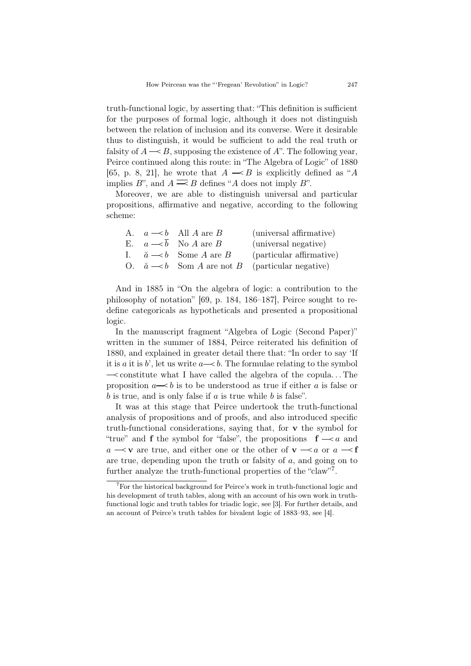truth-functional logic, by asserting that: "This definition is sufficient for the purposes of formal logic, although it does not distinguish between the relation of inclusion and its converse. Were it desirable thus to distinguish, it would be sufficient to add the real truth or falsity of  $A \rightarrow B$ , supposing the existence of  $A$ ". The following year, Peirce continued along this route: in "The Algebra of Logic" of 1880 [65, p. 8, 21], he wrote that  $A \rightarrow B$  is explicitly defined as "A implies *B*", and  $A \equiv B$  defines "*A* does not imply *B*".

Moreover, we are able to distinguish universal and particular propositions, affirmative and negative, according to the following scheme:

|  | A. $a \rightarrow b$ All A are B          | (universal affirmative)                                            |
|--|-------------------------------------------|--------------------------------------------------------------------|
|  | E. $a \rightarrow b$ No A are B           | (universal negative)                                               |
|  | I. $\breve{a} \rightarrow b$ Some A are B | (particular affirmative)                                           |
|  |                                           | O. $\breve{a} \rightarrow b$ Som A are not B (particular negative) |

And in 1885 in "On the algebra of logic: a contribution to the philosophy of notation" [69, p. 184, 186–187], Peirce sought to redefine categoricals as hypotheticals and presented a propositional logic.

In the manuscript fragment "Algebra of Logic (Second Paper)" written in the summer of 1884, Peirce reiterated his definition of 1880, and explained in greater detail there that: "In order to say 'If it is *a* it is *b*', let us write  $a \rightarrow b$ . The formulae relating to the symbol *<sup>&</sup>lt;* constitute what I have called the algebra of the copula. . . The proposition  $a \rightarrow b$  is to be understood as true if either a is false or *b* is true, and is only false if *a* is true while *b* is false".

It was at this stage that Peirce undertook the truth-functional analysis of propositions and of proofs, and also introduced specific truth-functional considerations, saying that, for v the symbol for "true" and **f** the symbol for "false", the propositions  $f \rightarrow a$  and  $a \rightarrow v$  are true, and either one or the other of  $v \rightarrow a$  or  $a \rightarrow f$ are true, depending upon the truth or falsity of *a*, and going on to further analyze the truth-functional properties of the "claw"<sup>7</sup>.

<sup>7</sup>For the historical background for Peirce's work in truth-functional logic and his development of truth tables, along with an account of his own work in truthfunctional logic and truth tables for triadic logic, see [3]. For further details, and an account of Peirce's truth tables for bivalent logic of 1883–93, see [4].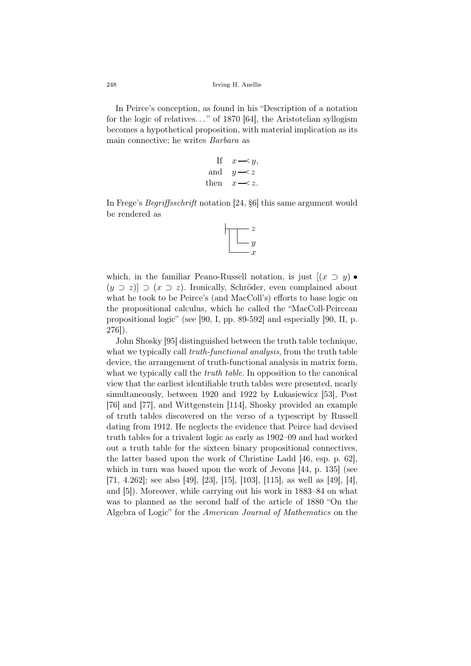In Peirce's conception, as found in his "Description of a notation for the logic of relatives. . . " of 1870 [64], the Aristotelian syllogism becomes a hypothetical proposition, with material implication as its main connective; he writes *Barbara* as

If 
$$
x \sim y
$$
,  
and  $y \sim z$   
then  $x \sim z$ .

In Frege's *Begriffsschrift* notation [24, §6] this same argument would be rendered as



which, in the familiar Peano-Russell notation, is just  $[(x \supset y) \bullet$  $(y \supset z)$   $\supset (x \supset z)$ . Ironically, Schröder, even complained about what he took to be Peirce's (and MacColl's) efforts to base logic on the propositional calculus, which he called the "MacColl-Peircean propositional logic" (see [90, I, pp. 89-592] and especially [90, II, p. 276]).

John Shosky [95] distinguished between the truth table technique, what we typically call *truth-functional analysis*, from the truth table device, the arrangement of truth-functional analysis in matrix form, what we typically call the *truth table*. In opposition to the canonical view that the earliest identifiable truth tables were presented, nearly simultaneously, between 1920 and 1922 by Lukasiewicz [53], Post [76] and [77], and Wittgenstein [114], Shosky provided an example of truth tables discovered on the verso of a typescript by Russell dating from 1912. He neglects the evidence that Peirce had devised truth tables for a trivalent logic as early as 1902–09 and had worked out a truth table for the sixteen binary propositional connectives, the latter based upon the work of Christine Ladd [46, esp. p. 62], which in turn was based upon the work of Jevons [44, p. 135] (see [71, 4.262]; see also [49], [23], [15], [103], [115], as well as [49], [4], and [5]). Moreover, while carrying out his work in 1883–84 on what was to planned as the second half of the article of 1880 "On the Algebra of Logic" for the *American Journal of Mathematics* on the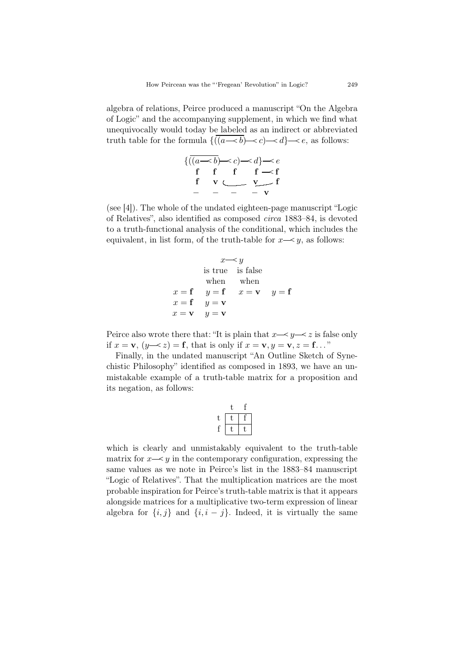algebra of relations, Peirce produced a manuscript "On the Algebra of Logic" and the accompanying supplement, in which we find what unequivocally would today be labeled as an indirect or abbreviated truth table for the formula  $\{((a \rightarrow b) \rightarrow c) \rightarrow d\} \rightarrow e$ , as follows:

|  | $\{((a \rightarrow b) \rightarrow c) \rightarrow d\} \rightarrow e$ |
|--|---------------------------------------------------------------------|
|  | f f f $f \prec f$                                                   |
|  | $v \leftarrow v$ f                                                  |
|  | $   \bf{v}$                                                         |

(see [4]). The whole of the undated eighteen-page manuscript "Logic of Relatives", also identified as composed *circa* 1883–84, is devoted to a truth-functional analysis of the conditional, which includes the equivalent, in list form, of the truth-table for  $x \rightarrow y$ , as follows:

$$
x \rightarrow y
$$
  
is true is false  
when when when  
 $x = f$   $y = f$   $x = v$   $y = f$   
 $x = f$   $y = v$   
 $x = v$   $y = v$ 

Peirce also wrote there that: "It is plain that  $x \rightarrow y \rightarrow z$  is false only if  $x = \mathbf{v}$ ,  $(y \rightarrow z) = \mathbf{f}$ , that is only if  $x = \mathbf{v}$ ,  $y = \mathbf{v}$ ,  $z = \mathbf{f}$ ..."

Finally, in the undated manuscript "An Outline Sketch of Synechistic Philosophy" identified as composed in 1893, we have an unmistakable example of a truth-table matrix for a proposition and its negation, as follows:

|   | t  |  |
|---|----|--|
| t | t. |  |
|   | Ū  |  |

which is clearly and unmistakably equivalent to the truth-table matrix for  $x \rightarrow y$  in the contemporary configuration, expressing the same values as we note in Peirce's list in the 1883–84 manuscript "Logic of Relatives". That the multiplication matrices are the most probable inspiration for Peirce's truth-table matrix is that it appears alongside matrices for a multiplicative two-term expression of linear algebra for  $\{i, j\}$  and  $\{i, i - j\}$ . Indeed, it is virtually the same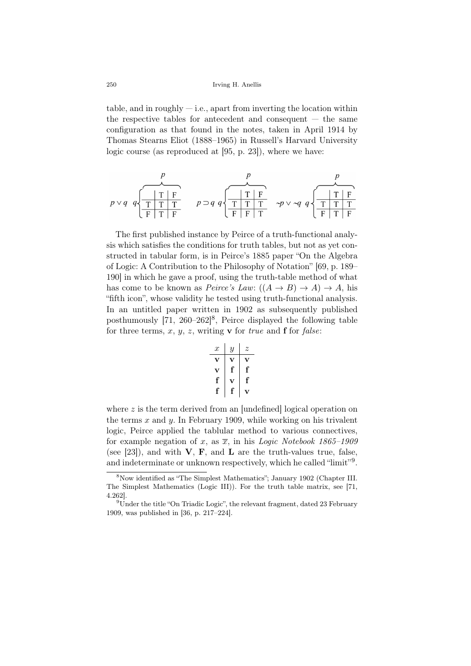table, and in roughly  $-$  i.e., apart from inverting the location within the respective tables for antecedent and consequent — the same configuration as that found in the notes, taken in April 1914 by Thomas Stearns Eliot (1888–1965) in Russell's Harvard University logic course (as reproduced at [95, p. 23]), where we have:

$$
p \vee q \quad q \sqrt{\frac{T \mid T \mid F}{T \mid T \mid T}}
$$
\n
$$
p \supset q \quad q \sqrt{\frac{T \mid T \mid F}{T \mid T \mid T}}
$$
\n
$$
p \supset q \quad q \sqrt{\frac{T \mid T \mid F}{T \mid T \mid T}}
$$
\n
$$
\sim p \vee \sim q \quad q \sqrt{\frac{T \mid T \mid F}{T \mid T \mid T}}
$$

The first published instance by Peirce of a truth-functional analysis which satisfies the conditions for truth tables, but not as yet constructed in tabular form, is in Peirce's 1885 paper "On the Algebra of Logic: A Contribution to the Philosophy of Notation" [69, p. 189– 190] in which he gave a proof, using the truth-table method of what has come to be known as *Peirce's Law*:  $((A \rightarrow B) \rightarrow A) \rightarrow A$ , his "fifth icon", whose validity he tested using truth-functional analysis. In an untitled paper written in 1902 as subsequently published posthumously  $[71, 260-262]^8$ , Peirce displayed the following table for three terms, *x*, *y*, *z*, writing v for *true* and f for *false*:

| $x$ | $y$ | $z$ |
|-----|-----|-----|
| $v$ | $v$ | $v$ |
| $v$ | $f$ | $f$ |
| $f$ | $v$ | $f$ |
| $f$ | $f$ | $v$ |

where z is the term derived from an undefined logical operation on the terms *x* and *y*. In February 1909, while working on his trivalent logic, Peirce applied the tablular method to various connectives, for example negation of x, as  $\overline{x}$ , in his *Logic Notebook 1865–1909* (see [23]), and with  $V$ ,  $F$ , and  $L$  are the truth-values true, false, and indeterminate or unknown respectively, which he called "limit"<sup>9</sup>.

<sup>8</sup>Now identified as "The Simplest Mathematics"; January 1902 (Chapter III. The Simplest Mathematics (Logic III)). For the truth table matrix, see [71, 4.262].

<sup>&</sup>lt;sup>9</sup>Under the title "On Triadic Logic", the relevant fragment, dated 23 February 1909, was published in [36, p. 217–224].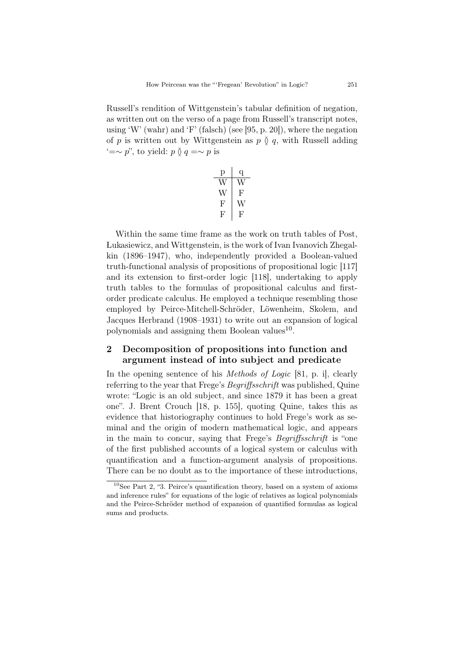Russell's rendition of Wittgenstein's tabular definition of negation, as written out on the verso of a page from Russell's transcript notes, using 'W' (wahr) and 'F' (falsch) (see [95, p. 20]), where the negation of *p* is written out by Wittgenstein as  $p \circ q$ , with Russell adding  $' = ∼ p$ ", to yield:  $p \uparrow q = ∼ p$  is

| υ  |    |
|----|----|
|    |    |
| V  | н, |
| F  | J  |
| н, | ŀ, |

Within the same time frame as the work on truth tables of Post, Lukasiewicz, and Wittgenstein, is the work of Ivan Ivanovich Zhegalkin (1896–1947), who, independently provided a Boolean-valued truth-functional analysis of propositions of propositional logic [117] and its extension to first-order logic [118], undertaking to apply truth tables to the formulas of propositional calculus and firstorder predicate calculus. He employed a technique resembling those employed by Peirce-Mitchell-Schröder, Löwenheim, Skolem, and Jacques Herbrand (1908–1931) to write out an expansion of logical polynomials and assigning them Boolean values<sup>10</sup>.

### 2 Decomposition of propositions into function and argument instead of into subject and predicate

In the opening sentence of his *Methods of Logic* [81, p. i], clearly referring to the year that Frege's *Begriffsschrift* was published, Quine wrote: "Logic is an old subject, and since 1879 it has been a great one". J. Brent Crouch [18, p. 155], quoting Quine, takes this as evidence that historiography continues to hold Frege's work as seminal and the origin of modern mathematical logic, and appears in the main to concur, saying that Frege's *Begriffsschrift* is "one of the first published accounts of a logical system or calculus with quantification and a function-argument analysis of propositions. There can be no doubt as to the importance of these introductions,

 $10$ See Part 2, "3. Peirce's quantification theory, based on a system of axioms and inference rules" for equations of the logic of relatives as logical polynomials and the Peirce-Schröder method of expansion of quantified formulas as logical sums and products.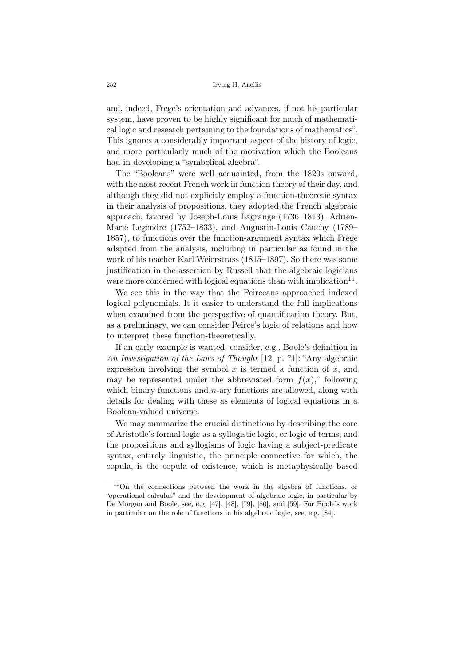and, indeed, Frege's orientation and advances, if not his particular system, have proven to be highly significant for much of mathematical logic and research pertaining to the foundations of mathematics". This ignores a considerably important aspect of the history of logic, and more particularly much of the motivation which the Booleans had in developing a "symbolical algebra".

The "Booleans" were well acquainted, from the 1820s onward, with the most recent French work in function theory of their day, and although they did not explicitly employ a function-theoretic syntax in their analysis of propositions, they adopted the French algebraic approach, favored by Joseph-Louis Lagrange (1736–1813), Adrien-Marie Legendre (1752–1833), and Augustin-Louis Cauchy (1789– 1857), to functions over the function-argument syntax which Frege adapted from the analysis, including in particular as found in the work of his teacher Karl Weierstrass (1815–1897). So there was some justification in the assertion by Russell that the algebraic logicians were more concerned with logical equations than with implication $11$ .

We see this in the way that the Peirceans approached indexed logical polynomials. It it easier to understand the full implications when examined from the perspective of quantification theory. But, as a preliminary, we can consider Peirce's logic of relations and how to interpret these function-theoretically.

If an early example is wanted, consider, e.g., Boole's definition in *An Investigation of the Laws of Thought* [12, p. 71]: "Any algebraic expression involving the symbol  $x$  is termed a function of  $x$ , and may be represented under the abbreviated form  $f(x)$ ," following which binary functions and *n*-ary functions are allowed, along with details for dealing with these as elements of logical equations in a Boolean-valued universe.

We may summarize the crucial distinctions by describing the core of Aristotle's formal logic as a syllogistic logic, or logic of terms, and the propositions and syllogisms of logic having a subject-predicate syntax, entirely linguistic, the principle connective for which, the copula, is the copula of existence, which is metaphysically based

<sup>11</sup>On the connections between the work in the algebra of functions, or "operational calculus" and the development of algebraic logic, in particular by De Morgan and Boole, see, e.g. [47], [48], [79], [80], and [59]. For Boole's work in particular on the role of functions in his algebraic logic, see, e.g. [84].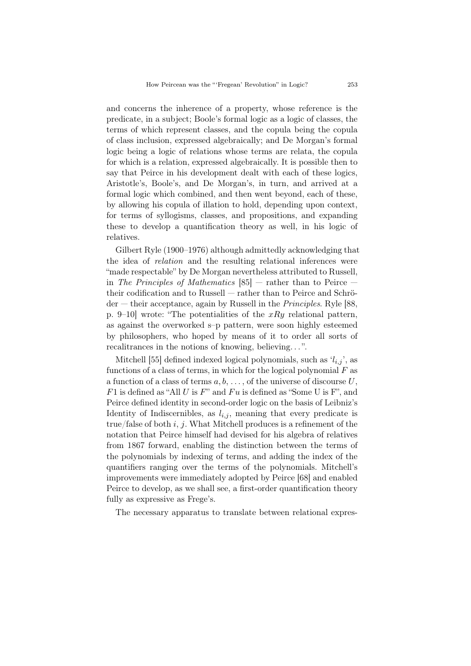and concerns the inherence of a property, whose reference is the predicate, in a subject; Boole's formal logic as a logic of classes, the terms of which represent classes, and the copula being the copula of class inclusion, expressed algebraically; and De Morgan's formal logic being a logic of relations whose terms are relata, the copula for which is a relation, expressed algebraically. It is possible then to say that Peirce in his development dealt with each of these logics, Aristotle's, Boole's, and De Morgan's, in turn, and arrived at a formal logic which combined, and then went beyond, each of these, by allowing his copula of illation to hold, depending upon context, for terms of syllogisms, classes, and propositions, and expanding these to develop a quantification theory as well, in his logic of relatives.

Gilbert Ryle (1900–1976) although admittedly acknowledging that the idea of *relation* and the resulting relational inferences were "made respectable" by De Morgan nevertheless attributed to Russell, in *The Principles of Mathematics* [85] — rather than to Peirce their codification and to Russell — rather than to Peirce and Schröder — their acceptance, again by Russell in the *Principles*. Ryle [88, p. 9–10] wrote: "The potentialities of the *xRy* relational pattern, as against the overworked s–p pattern, were soon highly esteemed by philosophers, who hoped by means of it to order all sorts of recalitrances in the notions of knowing, believing. . . ".

Mitchell [55] defined indexed logical polynomials, such as  $i_{i,j}$ , as functions of a class of terms, in which for the logical polynomial *F* as a function of a class of terms *a, b*, . . . , of the universe of discourse *U*, *F*1 is defined as "All *U* is *F*" and *F u* is defined as "Some U is F", and Peirce defined identity in second-order logic on the basis of Leibniz's Identity of Indiscernibles, as  $l_{i,j}$ , meaning that every predicate is true/false of both *i*, *j*. What Mitchell produces is a refinement of the notation that Peirce himself had devised for his algebra of relatives from 1867 forward, enabling the distinction between the terms of the polynomials by indexing of terms, and adding the index of the quantifiers ranging over the terms of the polynomials. Mitchell's improvements were immediately adopted by Peirce [68] and enabled Peirce to develop, as we shall see, a first-order quantification theory fully as expressive as Frege's.

The necessary apparatus to translate between relational expres-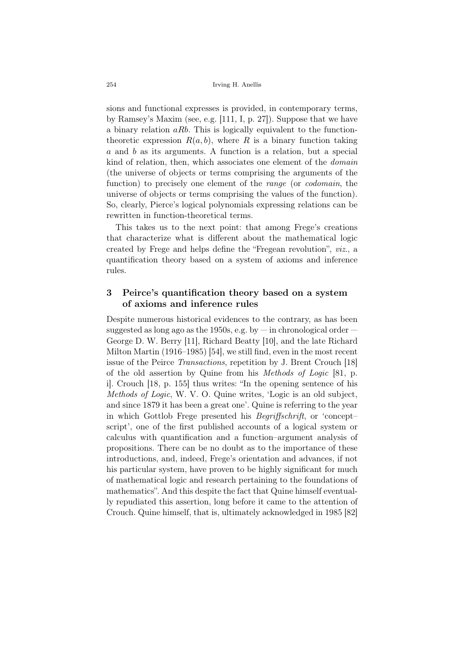sions and functional expresses is provided, in contemporary terms, by Ramsey's Maxim (see, e.g. [111, I, p. 27]). Suppose that we have a binary relation *aRb*. This is logically equivalent to the functiontheoretic expression  $R(a, b)$ , where  $R$  is a binary function taking *a* and *b* as its arguments. A function is a relation, but a special kind of relation, then, which associates one element of the *domain* (the universe of objects or terms comprising the arguments of the function) to precisely one element of the *range* (or *codomain*, the universe of objects or terms comprising the values of the function). So, clearly, Pierce's logical polynomials expressing relations can be rewritten in function-theoretical terms.

This takes us to the next point: that among Frege's creations that characterize what is different about the mathematical logic created by Frege and helps define the "Fregean revolution", *viz*., a quantification theory based on a system of axioms and inference rules.

### 3 Peirce's quantification theory based on a system of axioms and inference rules

Despite numerous historical evidences to the contrary, as has been suggested as long ago as the 1950s, e.g. by  $-$  in chronological order  $-$ George D. W. Berry [11], Richard Beatty [10], and the late Richard Milton Martin (1916–1985) [54], we still find, even in the most recent issue of the Peirce *Transactions*, repetition by J. Brent Crouch [18] of the old assertion by Quine from his *Methods of Logic* [81, p. i]. Crouch [18, p. 155] thus writes: "In the opening sentence of his *Methods of Logic*, W. V. O. Quine writes, 'Logic is an old subject, and since 1879 it has been a great one'. Quine is referring to the year in which Gottlob Frege presented his *Begriffschrift*, or 'concept– script', one of the first published accounts of a logical system or calculus with quantification and a function–argument analysis of propositions. There can be no doubt as to the importance of these introductions, and, indeed, Frege's orientation and advances, if not his particular system, have proven to be highly significant for much of mathematical logic and research pertaining to the foundations of mathematics". And this despite the fact that Quine himself eventually repudiated this assertion, long before it came to the attention of Crouch. Quine himself, that is, ultimately acknowledged in 1985 [82]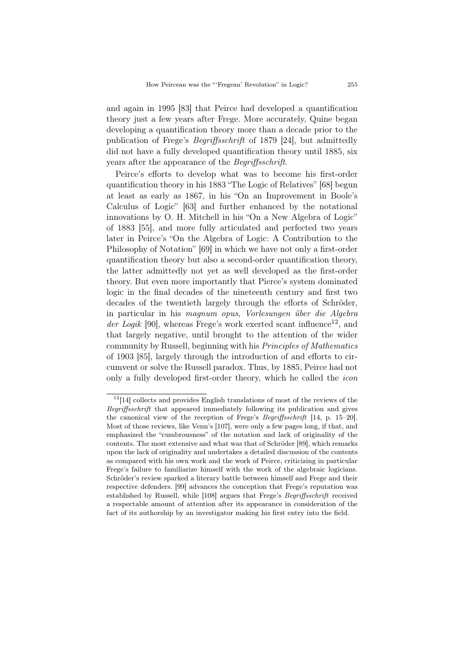and again in 1995 [83] that Peirce had developed a quantification theory just a few years after Frege. More accurately, Quine began developing a quantification theory more than a decade prior to the publication of Frege's *Begriffsschrift* of 1879 [24], but admittedly did not have a fully developed quantification theory until 1885, six years after the appearance of the *Begriffsschrift*.

Peirce's efforts to develop what was to become his first-order quantification theory in his 1883 "The Logic of Relatives" [68] begun at least as early as 1867, in his "On an Improvement in Boole's Calculus of Logic" [63] and further enhanced by the notational innovations by O. H. Mitchell in his "On a New Algebra of Logic" of 1883 [55], and more fully articulated and perfected two years later in Peirce's "On the Algebra of Logic: A Contribution to the Philosophy of Notation" [69] in which we have not only a first-order quantification theory but also a second-order quantification theory, the latter admittedly not yet as well developed as the first-order theory. But even more importantly that Pierce's system dominated logic in the final decades of the nineteenth century and first two decades of the twentieth largely through the efforts of Schröder, in particular in his *magnum opus*, *Vorlesungen ¨uber die Algebra*  $der Logik$  [90], whereas Frege's work exerted scant influence<sup>12</sup>, and that largely negative, until brought to the attention of the wider community by Russell, beginning with his *Principles of Mathematics* of 1903 [85], largely through the introduction of and efforts to circumvent or solve the Russell paradox. Thus, by 1885, Peirce had not only a fully developed first-order theory, which he called the *icon*

 $12$ [14] collects and provides English translations of most of the reviews of the *Begriffsschrift* that appeared immediately following its publication and gives the canonical view of the reception of Frege's *Begriffsschrift* [14, p. 15–20]. Most of those reviews, like Venn's [107], were only a few pages long, if that, and emphasized the "cumbrousness" of the notation and lack of originality of the contents. The most extensive and what was that of Schröder [89], which remarks upon the lack of originality and undertakes a detailed discussion of the contents as compared with his own work and the work of Peirce, criticizing in particular Frege's failure to familiarize himself with the work of the algebraic logicians. Schröder's review sparked a literary battle between himself and Frege and their respective defenders. [99] advances the conception that Frege's reputation was established by Russell, while [108] argues that Frege's *Begriffsschrift* received a respectable amount of attention after its appearance in consideration of the fact of its authorship by an investigator making his first entry into the field.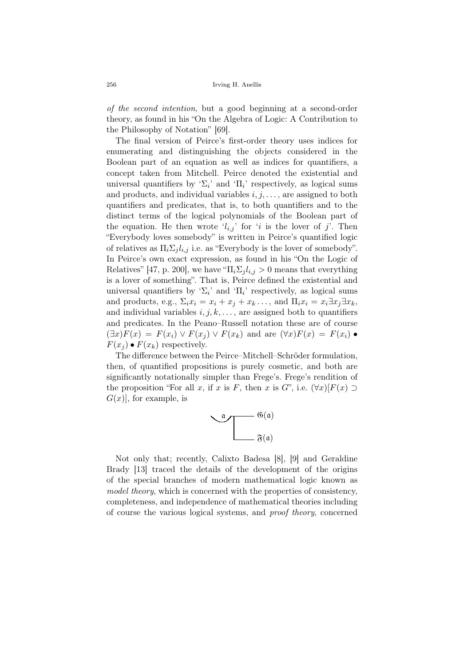*of the second intention*, but a good beginning at a second-order theory, as found in his "On the Algebra of Logic: A Contribution to the Philosophy of Notation" [69].

The final version of Peirce's first-order theory uses indices for enumerating and distinguishing the objects considered in the Boolean part of an equation as well as indices for quantifiers, a concept taken from Mitchell. Peirce denoted the existential and universal quantifiers by ' $\Sigma_i$ ' and ' $\Pi_i$ ' respectively, as logical sums and products, and individual variables  $i, j, \ldots$ , are assigned to both quantifiers and predicates, that is, to both quantifiers and to the distinct terms of the logical polynomials of the Boolean part of the equation. He then wrote  $'l_{i,j}$  for '*i* is the lover of *j*'. Then "Everybody loves somebody" is written in Peirce's quantified logic of relatives as  $\Pi_i \Sigma_j l_{i,j}$  i.e. as "Everybody is the lover of somebody". In Peirce's own exact expression, as found in his "On the Logic of Relatives" [47, p. 200], we have " $\Pi_i \Sigma_j l_{i,j} > 0$  means that everything is a lover of something". That is, Peirce defined the existential and universal quantifiers by ' $\Sigma_i$ ' and ' $\Pi_i$ ' respectively, as logical sums and products, e.g.,  $\Sigma_i x_i = x_i + x_j + x_k \dots$ , and  $\Pi_i x_i = x_i \exists x_j \exists x_k$ , and individual variables  $i, j, k, \ldots$ , are assigned both to quantifiers and predicates. In the Peano–Russell notation these are of course  $(\exists x)F(x) = F(x_i) \vee F(x_i) \vee F(x_k)$  and are  $(\forall x)F(x) = F(x_i) \bullet$  $F(x_i) \bullet F(x_k)$  respectively.

The difference between the Peirce–Mitchell–Schröder formulation, then, of quantified propositions is purely cosmetic, and both are significantly notationally simpler than Frege's. Frege's rendition of the proposition "For all *x*, if *x* is *F*, then *x* is *G*", i.e.  $(\forall x)[F(x) \supset$  $G(x)$ , for example, is



Not only that; recently, Calixto Badesa [8], [9] and Geraldine Brady [13] traced the details of the development of the origins of the special branches of modern mathematical logic known as model theory, which is concerned with the properties of consistency, completeness, and independence of mathematical theories including of course the various logical systems, and *proof theory*, concerned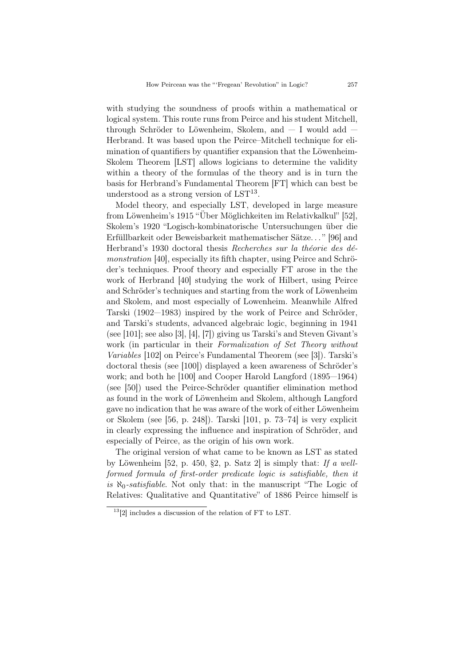with studying the soundness of proofs within a mathematical or logical system. This route runs from Peirce and his student Mitchell, through Schröder to Löwenheim, Skolem, and  $-$  I would add  $-$ Herbrand. It was based upon the Peirce–Mitchell technique for elimination of quantifiers by quantifier expansion that the Löwenheim-Skolem Theorem [LST] allows logicians to determine the validity within a theory of the formulas of the theory and is in turn the basis for Herbrand's Fundamental Theorem [FT] which can best be understood as a strong version of  $LST^{13}$ .

Model theory, and especially LST, developed in large measure from Löwenheim's 1915 "Über Möglichkeiten im Relativkalkul" [52], Skolem's 1920 "Logisch-kombinatorische Untersuchungen über die Erfüllbarkeit oder Beweisbarkeit mathematischer Sätze..." [96] and Herbrand's 1930 doctoral thesis *Recherches sur la théorie des démonstration* [40], especially its fifth chapter, using Peirce and Schröder's techniques. Proof theory and especially FT arose in the the work of Herbrand [40] studying the work of Hilbert, using Peirce and Schröder's techniques and starting from the work of Löwenheim and Skolem, and most especially of Lowenheim. Meanwhile Alfred Tarski (1902—1983) inspired by the work of Peirce and Schröder, and Tarski's students, advanced algebraic logic, beginning in 1941 (see [101]; see also [3], [4], [7]) giving us Tarski's and Steven Givant's work (in particular in their *Formalization of Set Theory without Variables* [102] on Peirce's Fundamental Theorem (see [3]). Tarski's doctoral thesis (see [100]) displayed a keen awareness of Schröder's work; and both he [100] and Cooper Harold Langford (1895—1964) (see [50]) used the Peirce-Schröder quantifier elimination method as found in the work of Löwenheim and Skolem, although Langford gave no indication that he was aware of the work of either Löwenheim or Skolem (see [56, p. 248]). Tarski [101, p. 73–74] is very explicit in clearly expressing the influence and inspiration of Schröder, and especially of Peirce, as the origin of his own work.

The original version of what came to be known as LST as stated by Löwenheim  $[52, p. 450, §2, p. Satz 2]$  is simply that: *If a wellformed formula of first-order predicate logic is satisfiable, then it is ℵ*0*-satisfiable*. Not only that: in the manuscript "The Logic of Relatives: Qualitative and Quantitative" of 1886 Peirce himself is

<sup>13</sup>[2] includes a discussion of the relation of FT to LST.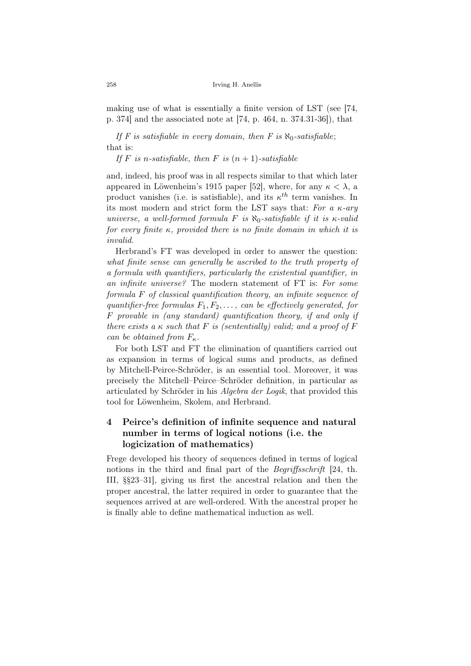making use of what is essentially a finite version of LST (see [74, p. 374] and the associated note at [74, p. 464, n. 374.31-36]), that

If F is satisfiable in every domain, then F is  $\aleph_0$ -satisfiable; that is:

If  $F$  *is n*-satisfiable, then  $F$  *is*  $(n+1)$ -satisfiable

and, indeed, his proof was in all respects similar to that which later appeared in Löwenheim's 1915 paper [52], where, for any  $\kappa < \lambda$ , a product vanishes (i.e. is satisfiable), and its  $\kappa^{th}$  term vanishes. In its most modern and strict form the LST says that: *For a κ-ary universe, a well-formed formula F is ℵ*0*-satisfiable if it is κ-valid for every finite κ, provided there is no finite domain in which it is invalid*.

Herbrand's FT was developed in order to answer the question: *what finite sense can generally be ascribed to the truth property of a formula with quantifiers, particularly the existential quantifier, in an infinite universe?* The modern statement of FT is: *For some formula F of classical quantification theory, an infinite sequence of quantifier-free formulas F*1*, F*2*, . . . , can be effectively generated, for F provable in (any standard) quantification theory, if and only if there exists a*  $\kappa$  *such that*  $F$  *is (sententially) valid; and a proof of*  $F$ *can be obtained from*  $F_{\kappa}$ *.* 

For both LST and FT the elimination of quantifiers carried out as expansion in terms of logical sums and products, as defined by Mitchell-Peirce-Schröder, is an essential tool. Moreover, it was precisely the Mitchell–Peirce–Schröder definition, in particular as articulated by Schröder in his *Algebra der Logik*, that provided this tool for Löwenheim, Skolem, and Herbrand.

# 4 Peirce's definition of infinite sequence and natural number in terms of logical notions (i.e. the logicization of mathematics)

Frege developed his theory of sequences defined in terms of logical notions in the third and final part of the *Begriffsschrift* [24, th. III, §§23–31], giving us first the ancestral relation and then the proper ancestral, the latter required in order to guarantee that the sequences arrived at are well-ordered. With the ancestral proper he is finally able to define mathematical induction as well.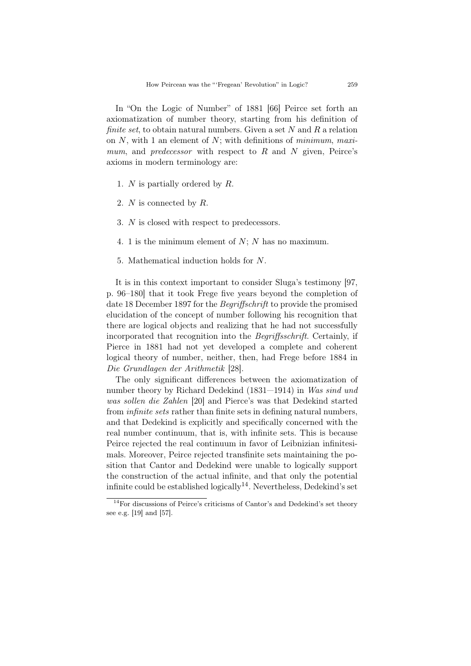In "On the Logic of Number" of 1881 [66] Peirce set forth an axiomatization of number theory, starting from his definition of *finite set*, to obtain natural numbers. Given a set *N* and *R* a relation on *N*, with 1 an element of *N*; with definitions of *minimum*, *maximum*, and *predecessor* with respect to *R* and *N* given, Peirce's axioms in modern terminology are:

- 1. *N* is partially ordered by *R*.
- 2. *N* is connected by *R*.
- 3. *N* is closed with respect to predecessors.
- 4. 1 is the minimum element of *N*; *N* has no maximum.
- 5. Mathematical induction holds for *N*.

It is in this context important to consider Sluga's testimony [97, p. 96–180] that it took Frege five years beyond the completion of date 18 December 1897 for the *Begriffschrift* to provide the promised elucidation of the concept of number following his recognition that there are logical objects and realizing that he had not successfully incorporated that recognition into the *Begriffsschrift*. Certainly, if Pierce in 1881 had not yet developed a complete and coherent logical theory of number, neither, then, had Frege before 1884 in *Die Grundlagen der Arithmetik* [28].

The only significant differences between the axiomatization of number theory by Richard Dedekind (1831—1914) in *Was sind und was sollen die Zahlen* [20] and Pierce's was that Dedekind started from *infinite sets* rather than finite sets in defining natural numbers, and that Dedekind is explicitly and specifically concerned with the real number continuum, that is, with infinite sets. This is because Peirce rejected the real continuum in favor of Leibnizian infinitesimals. Moreover, Peirce rejected transfinite sets maintaining the position that Cantor and Dedekind were unable to logically support the construction of the actual infinite, and that only the potential infinite could be established logically<sup>14</sup>. Nevertheless, Dedekind's set

<sup>14</sup>For discussions of Peirce's criticisms of Cantor's and Dedekind's set theory see e.g. [19] and [57].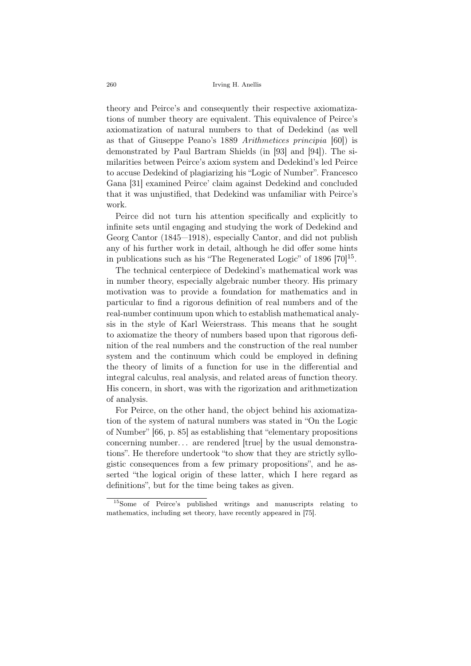theory and Peirce's and consequently their respective axiomatizations of number theory are equivalent. This equivalence of Peirce's axiomatization of natural numbers to that of Dedekind (as well as that of Giuseppe Peano's 1889 *Arithmetices principia* [60]) is demonstrated by Paul Bartram Shields (in [93] and [94]). The similarities between Peirce's axiom system and Dedekind's led Peirce to accuse Dedekind of plagiarizing his "Logic of Number". Francesco Gana [31] examined Peirce' claim against Dedekind and concluded that it was unjustified, that Dedekind was unfamiliar with Peirce's work.

Peirce did not turn his attention specifically and explicitly to infinite sets until engaging and studying the work of Dedekind and Georg Cantor (1845—1918), especially Cantor, and did not publish any of his further work in detail, although he did offer some hints in publications such as his "The Regenerated Logic" of  $1896 [70]^{15}$ .

The technical centerpiece of Dedekind's mathematical work was in number theory, especially algebraic number theory. His primary motivation was to provide a foundation for mathematics and in particular to find a rigorous definition of real numbers and of the real-number continuum upon which to establish mathematical analysis in the style of Karl Weierstrass. This means that he sought to axiomatize the theory of numbers based upon that rigorous definition of the real numbers and the construction of the real number system and the continuum which could be employed in defining the theory of limits of a function for use in the differential and integral calculus, real analysis, and related areas of function theory. His concern, in short, was with the rigorization and arithmetization of analysis.

For Peirce, on the other hand, the object behind his axiomatization of the system of natural numbers was stated in "On the Logic of Number" [66, p. 85] as establishing that "elementary propositions concerning number. . . are rendered [true] by the usual demonstrations". He therefore undertook "to show that they are strictly syllogistic consequences from a few primary propositions", and he asserted "the logical origin of these latter, which I here regard as definitions", but for the time being takes as given.

<sup>15</sup>Some of Peirce's published writings and manuscripts relating to mathematics, including set theory, have recently appeared in [75].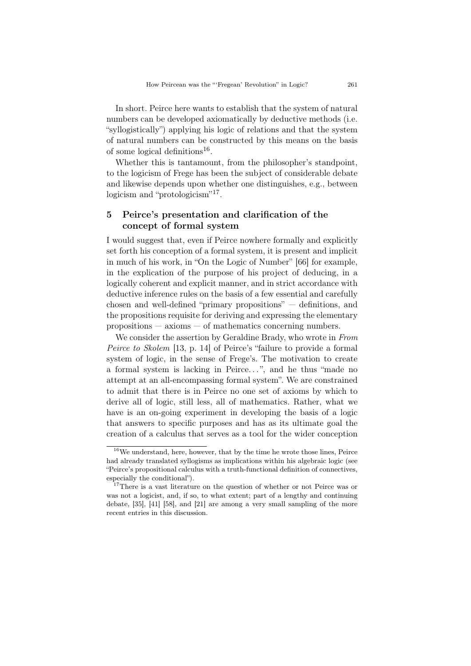In short. Peirce here wants to establish that the system of natural numbers can be developed axiomatically by deductive methods (i.e. "syllogistically") applying his logic of relations and that the system of natural numbers can be constructed by this means on the basis of some logical definitions<sup>16</sup>.

Whether this is tantamount, from the philosopher's standpoint, to the logicism of Frege has been the subject of considerable debate and likewise depends upon whether one distinguishes, e.g., between logicism and "protologicism"<sup>17</sup>.

### 5 Peirce's presentation and clarification of the concept of formal system

I would suggest that, even if Peirce nowhere formally and explicitly set forth his conception of a formal system, it is present and implicit in much of his work, in "On the Logic of Number" [66] for example, in the explication of the purpose of his project of deducing, in a logically coherent and explicit manner, and in strict accordance with deductive inference rules on the basis of a few essential and carefully chosen and well-defined "primary propositions" — definitions, and the propositions requisite for deriving and expressing the elementary propositions — axioms — of mathematics concerning numbers.

We consider the assertion by Geraldine Brady, who wrote in *From Peirce to Skolem* [13, p. 14] of Peirce's "failure to provide a formal system of logic, in the sense of Frege's. The motivation to create a formal system is lacking in Peirce...", and he thus "made no attempt at an all-encompassing formal system". We are constrained to admit that there is in Peirce no one set of axioms by which to derive all of logic, still less, all of mathematics. Rather, what we have is an on-going experiment in developing the basis of a logic that answers to specific purposes and has as its ultimate goal the creation of a calculus that serves as a tool for the wider conception

 $^{16}\rm{We}$  understand, here, however, that by the time he wrote those lines, Peirce had already translated syllogisms as implications within his algebraic logic (see "Peirce's propositional calculus with a truth-functional definition of connectives, especially the conditional").

<sup>&</sup>lt;sup>17</sup>There is a vast literature on the question of whether or not Peirce was or was not a logicist, and, if so, to what extent; part of a lengthy and continuing debate, [35], [41] [58], and [21] are among a very small sampling of the more recent entries in this discussion.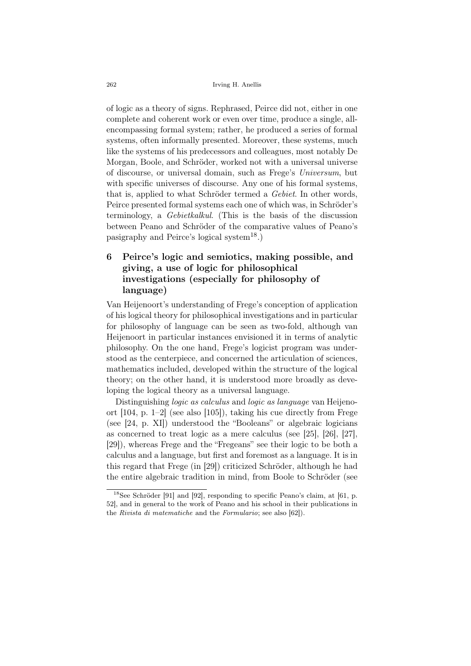of logic as a theory of signs. Rephrased, Peirce did not, either in one complete and coherent work or even over time, produce a single, allencompassing formal system; rather, he produced a series of formal systems, often informally presented. Moreover, these systems, much like the systems of his predecessors and colleagues, most notably De Morgan, Boole, and Schröder, worked not with a universal universe of discourse, or universal domain, such as Frege's *Universum*, but with specific universes of discourse. Any one of his formal systems, that is, applied to what Schröder termed a *Gebiet*. In other words, Peirce presented formal systems each one of which was, in Schröder's terminology, a *Gebietkalkul*. (This is the basis of the discussion between Peano and Schröder of the comparative values of Peano's pasigraphy and Peirce's logical system<sup>18</sup>.)

# 6 Peirce's logic and semiotics, making possible, and giving, a use of logic for philosophical investigations (especially for philosophy of language)

Van Heijenoort's understanding of Frege's conception of application of his logical theory for philosophical investigations and in particular for philosophy of language can be seen as two-fold, although van Heijenoort in particular instances envisioned it in terms of analytic philosophy. On the one hand, Frege's logicist program was understood as the centerpiece, and concerned the articulation of sciences, mathematics included, developed within the structure of the logical theory; on the other hand, it is understood more broadly as developing the logical theory as a universal language.

Distinguishing *logic as calculus* and *logic as language* van Heijenoort [104, p. 1–2] (see also [105]), taking his cue directly from Frege (see [24, p. XI]) understood the "Booleans" or algebraic logicians as concerned to treat logic as a mere calculus (see [25], [26], [27], [29]), whereas Frege and the "Fregeans" see their logic to be both a calculus and a language, but first and foremost as a language. It is in this regard that Frege (in [29]) criticized Schröder, although he had the entire algebraic tradition in mind, from Boole to Schröder (see

<sup>&</sup>lt;sup>18</sup>See Schröder [91] and [92], responding to specific Peano's claim, at [61, p. 52], and in general to the work of Peano and his school in their publications in the *Rivista di matematiche* and the *Formulario*; see also [62]).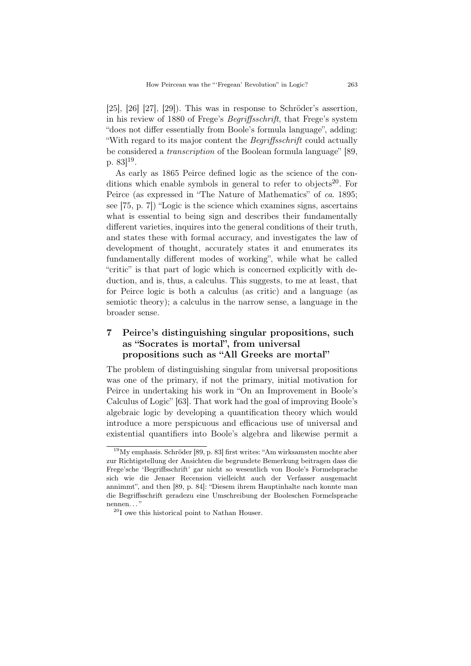$[25]$ ,  $[26]$   $[27]$ ,  $[29]$ ). This was in response to Schröder's assertion, in his review of 1880 of Frege's *Begriffsschrift*, that Frege's system "does not differ essentially from Boole's formula language", adding: "With regard to its major content the *Begriffsschrift* could actually be considered a *transcription* of the Boolean formula language" [89, p.  $83]^{19}$ .

As early as 1865 Peirce defined logic as the science of the conditions which enable symbols in general to refer to objects<sup>20</sup>. For Peirce (as expressed in "The Nature of Mathematics" of *ca*. 1895; see [75, p. 7]) "Logic is the science which examines signs, ascertains what is essential to being sign and describes their fundamentally different varieties, inquires into the general conditions of their truth, and states these with formal accuracy, and investigates the law of development of thought, accurately states it and enumerates its fundamentally different modes of working", while what he called "critic" is that part of logic which is concerned explicitly with deduction, and is, thus, a calculus. This suggests, to me at least, that for Peirce logic is both a calculus (as critic) and a language (as semiotic theory); a calculus in the narrow sense, a language in the broader sense.

# 7 Peirce's distinguishing singular propositions, such as "Socrates is mortal", from universal propositions such as "All Greeks are mortal"

The problem of distinguishing singular from universal propositions was one of the primary, if not the primary, initial motivation for Peirce in undertaking his work in "On an Improvement in Boole's Calculus of Logic" [63]. That work had the goal of improving Boole's algebraic logic by developing a quantification theory which would introduce a more perspicuous and efficacious use of universal and existential quantifiers into Boole's algebra and likewise permit a

 $19$ My emphasis. Schröder [89, p. 83] first writes: "Am wirksamsten mochte aber zur Richtigstellung der Ansichten die begrundete Bemerkung beitragen dass die Frege'sche 'Begriffsschrift' gar nicht so wesentlich von Boole's Formelsprache sich wie die Jenaer Recension vielleicht auch der Verfasser ausgemacht annimmt", and then [89, p. 84]: "Diesem ihrem Hauptinhalte nach konnte man die Begriffsschrift geradezu eine Umschreibung der Booleschen Formelsprache nennen..."

<sup>20</sup>I owe this historical point to Nathan Houser.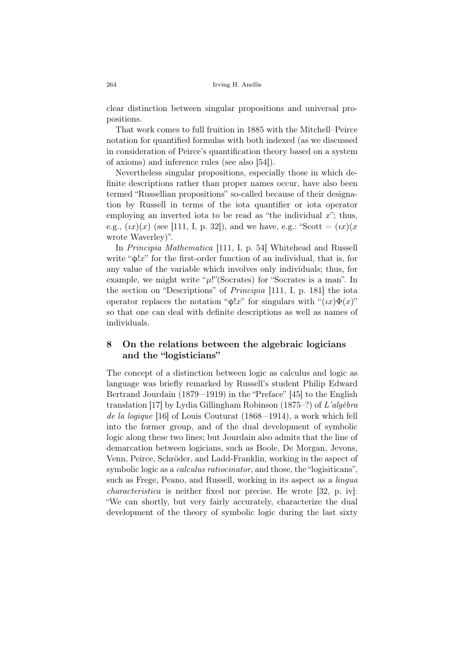clear distinction between singular propositions and universal propositions.

That work comes to full fruition in 1885 with the Mitchell–Peirce notation for quantified formulas with both indexed (as we discussed in consideration of Peirce's quantification theory based on a system of axioms) and inference rules (see also [54]).

Nevertheless singular propositions, especially those in which definite descriptions rather than proper names occur, have also been termed "Russellian propositions" so-called because of their designation by Russell in terms of the iota quantifier or iota operator employing an inverted iota to be read as "the individual *x*"; thus, e.g.,  $(ix)(x)$  (see [111, I, p. 32]), and we have, e.g.: "Scott =  $(ix)(x)$ wrote Waverley)".

In *Principia Mathematica* [111, I, p. 54] Whitehead and Russell write "ϕ!*x*" for the first-order function of an individual, that is, for any value of the variable which involves only individuals; thus, for example, we might write " $\mu$ !"(Socrates) for "Socrates is a man". In the section on "Descriptions" of *Principia* [111, I, p. 181] the iota operator replaces the notation " $\phi$ !*x*" for singulars with " $(ix)\Phi(x)$ " so that one can deal with definite descriptions as well as names of individuals.

### 8 On the relations between the algebraic logicians and the "logisticians"

The concept of a distinction between logic as calculus and logic as language was briefly remarked by Russell's student Philip Edward Bertrand Jourdain (1879—1919) in the "Preface" [45] to the English translation [17] by Lydia Gillingham Robinson (1875–?) of *L'alg`ebra de la logique* [16] of Louis Couturat (1868—1914), a work which fell into the former group, and of the dual development of symbolic logic along these two lines; but Jourdain also admits that the line of demarcation between logicians, such as Boole, De Morgan, Jevons, Venn, Peirce, Schröder, and Ladd-Franklin, working in the aspect of symbolic logic as a *calculus ratiocinator*, and those, the "logisiticans", such as Frege, Peano, and Russell, working in its aspect as a *lingua characteristica* is neither fixed nor precise. He wrote [32, p. iv]: "We can shortly, but very fairly accurately, characterize the dual development of the theory of symbolic logic during the last sixty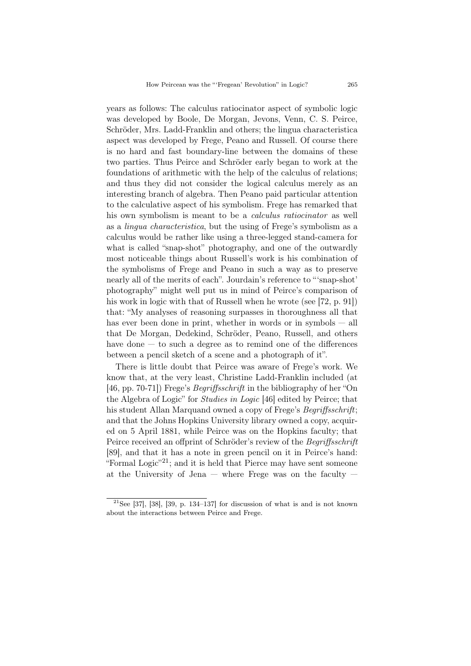years as follows: The calculus ratiocinator aspect of symbolic logic was developed by Boole, De Morgan, Jevons, Venn, C. S. Peirce, Schröder, Mrs. Ladd-Franklin and others; the lingua characteristica aspect was developed by Frege, Peano and Russell. Of course there is no hard and fast boundary-line between the domains of these two parties. Thus Peirce and Schröder early began to work at the foundations of arithmetic with the help of the calculus of relations; and thus they did not consider the logical calculus merely as an interesting branch of algebra. Then Peano paid particular attention to the calculative aspect of his symbolism. Frege has remarked that his own symbolism is meant to be a *calculus ratiocinator* as well as a *lingua characteristica*, but the using of Frege's symbolism as a calculus would be rather like using a three-legged stand-camera for what is called "snap-shot" photography, and one of the outwardly most noticeable things about Russell's work is his combination of the symbolisms of Frege and Peano in such a way as to preserve nearly all of the merits of each". Jourdain's reference to "'snap-shot' photography" might well put us in mind of Peirce's comparison of his work in logic with that of Russell when he wrote (see [72, p. 91]) that: "My analyses of reasoning surpasses in thoroughness all that has ever been done in print, whether in words or in symbols — all that De Morgan, Dedekind, Schröder, Peano, Russell, and others have done  $-$  to such a degree as to remind one of the differences between a pencil sketch of a scene and a photograph of it".

There is little doubt that Peirce was aware of Frege's work. We know that, at the very least, Christine Ladd-Franklin included (at [46, pp. 70-71]) Frege's *Begriffsschrift* in the bibliography of her "On the Algebra of Logic" for *Studies in Logic* [46] edited by Peirce; that his student Allan Marquand owned a copy of Frege's *Begriffsschrift*; and that the Johns Hopkins University library owned a copy, acquired on 5 April 1881, while Peirce was on the Hopkins faculty; that Peirce received an offprint of Schröder's review of the *Begriffsschrift* [89], and that it has a note in green pencil on it in Peirce's hand: "Formal Logic"<sup>21</sup>; and it is held that Pierce may have sent someone at the University of Jena  $-$  where Frege was on the faculty  $-$ 

<sup>&</sup>lt;sup>21</sup>See [37], [38], [39, p. 134–137] for discussion of what is and is not known about the interactions between Peirce and Frege.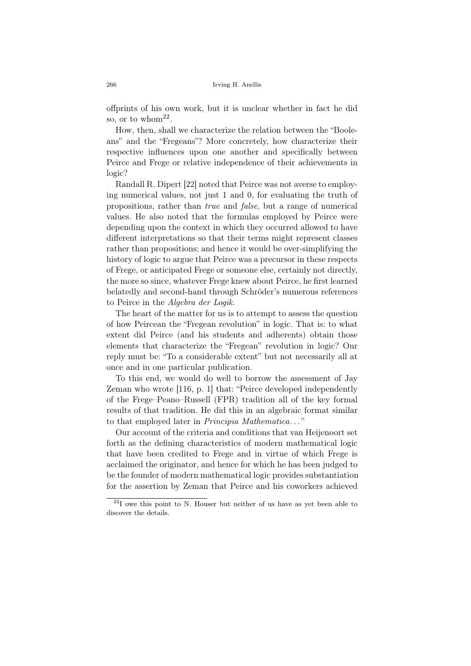offprints of his own work, but it is unclear whether in fact he did so, or to whom<sup>22</sup>.

How, then, shall we characterize the relation between the "Booleans" and the "Fregeans"? More concretely, how characterize their respective influences upon one another and specifically between Peirce and Frege or relative independence of their achievements in logic?

Randall R. Dipert [22] noted that Peirce was not averse to employing numerical values, not just 1 and 0, for evaluating the truth of propositions, rather than *true* and *false*, but a range of numerical values. He also noted that the formulas employed by Peirce were depending upon the context in which they occurred allowed to have different interpretations so that their terms might represent classes rather than propositions; and hence it would be over-simplifying the history of logic to argue that Peirce was a precursor in these respects of Frege, or anticipated Frege or someone else, certainly not directly, the more so since, whatever Frege knew about Peirce, he first learned belatedly and second-hand through Schröder's numerous references to Peirce in the *Algebra der Logik*.

The heart of the matter for us is to attempt to assess the question of how Peircean the "Fregean revolution" in logic. That is: to what extent did Peirce (and his students and adherents) obtain those elements that characterize the "Fregean" revolution in logic? Our reply must be: "To a considerable extent" but not necessarily all at once and in one particular publication.

To this end, we would do well to borrow the assessment of Jay Zeman who wrote [116, p. 1] that: "Peirce developed independently of the Frege–Peano–Russell (FPR) tradition all of the key formal results of that tradition. He did this in an algebraic format similar to that employed later in *Principia Mathematica*. . . "

Our account of the criteria and conditions that van Heijenoort set forth as the defining characteristics of modern mathematical logic that have been credited to Frege and in virtue of which Frege is acclaimed the originator, and hence for which he has been judged to be the founder of modern mathematical logic provides substantiation for the assertion by Zeman that Peirce and his coworkers achieved

 $22I$  owe this point to N. Houser but neither of us have as yet been able to discover the details.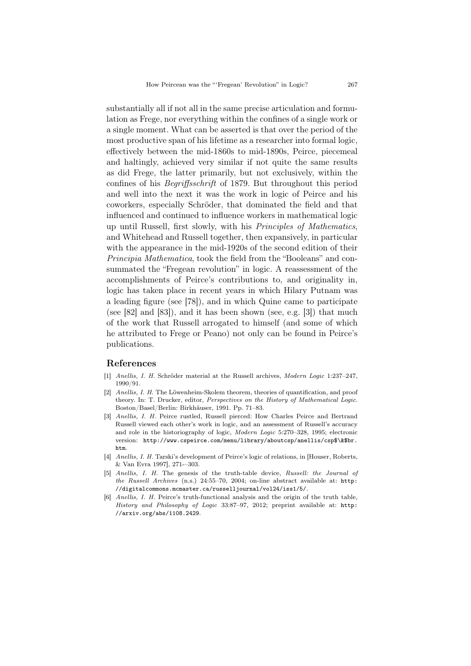substantially all if not all in the same precise articulation and formulation as Frege, nor everything within the confines of a single work or a single moment. What can be asserted is that over the period of the most productive span of his lifetime as a researcher into formal logic, effectively between the mid-1860s to mid-1890s, Peirce, piecemeal and haltingly, achieved very similar if not quite the same results as did Frege, the latter primarily, but not exclusively, within the confines of his *Begriffsschrift* of 1879. But throughout this period and well into the next it was the work in logic of Peirce and his coworkers, especially Schröder, that dominated the field and that influenced and continued to influence workers in mathematical logic up until Russell, first slowly, with his *Principles of Mathematics*, and Whitehead and Russell together, then expansively, in particular with the appearance in the mid-1920s of the second edition of their *Principia Mathematica*, took the field from the "Booleans" and consummated the "Fregean revolution" in logic. A reassessment of the accomplishments of Peirce's contributions to, and originality in, logic has taken place in recent years in which Hilary Putnam was a leading figure (see [78]), and in which Quine came to participate (see [82] and [83]), and it has been shown (see, e.g. [3]) that much of the work that Russell arrogated to himself (and some of which he attributed to Frege or Peano) not only can be found in Peirce's publications.

#### References

- [1] *Anellis, I. H.* Schröder material at the Russell archives, *Modern Logic* 1:237-247, 1990/91.
- [2] *Anellis, I. H.* The Löwenheim-Skolem theorem, theories of quantification, and proof theory. In: T. Drucker, editor, *Perspectives on the History of Mathematical Logic*. Boston/Basel/Berlin: Birkhäuser, 1991. Pp. 71-83.
- [3] *Anellis, I. H.* Peirce rustled, Russell pierced: How Charles Peirce and Bertrand Russell viewed each other's work in logic, and an assessment of Russell's accuracy and role in the historiography of logic, *Modern Logic* 5:270–328, 1995; electronic version: http://www.cspeirce.com/menu/library/aboutcsp/anellis/csp\$\&\$br. htm.
- [4] *Anellis, I. H.* Tarski's development of Peirce's logic of relations, in [Houser, Roberts, & Van Evra 1997], 271-–303.
- [5] *Anellis, I. H.* The genesis of the truth-table device, *Russell: the Journal of the Russell Archives* (n.s.) 24:55–70, 2004; on-line abstract available at: http: //digitalcommons.mcmaster.ca/russelljournal/vol24/iss1/5/.
- [6] *Anellis, I. H.* Peirce's truth-functional analysis and the origin of the truth table, *History and Philosophy of Logic* 33:87–97, 2012; preprint available at: http: //arxiv.org/abs/1108.2429.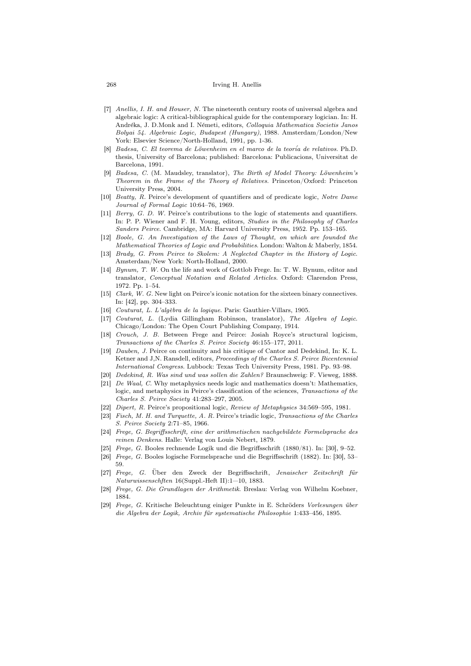#### 268 Irving H. Anellis

- [7] *Anellis, I. H. and Houser, N.* The nineteenth century roots of universal algebra and algebraic logic: A critical-bibliographical guide for the contemporary logician. In: H. Andr´eka, J. D.Monk and I. N´emeti, editors, *Colloquia Mathematica Societis Janos Bolyai 54. Algebraic Logic, Budapest (Hungary)*, 1988. Amsterdam/London/New York: Elsevier Science/North-Holland, 1991, pp. 1-36.
- [8] *Badesa, C. El teorema de L¨owenheim en el marco de la teor´ia de relativos*. Ph.D. thesis, University of Barcelona; published: Barcelona: Publicacions, Universitat de Barcelona, 1991.
- $Badesa, C.$  (M. Maudsley, translator), *The Birth of Model Theory: Löwenheim's Theorem in the Frame of the Theory of Relatives*. Princeton/Oxford: Princeton University Press, 2004.
- [10] *Beatty, R.* Peirce's development of quantifiers and of predicate logic, *Notre Dame Journal of Formal Logic* 10:64–76, 1969.
- [11] *Berry, G. D. W.* Peirce's contributions to the logic of statements and quantifiers. In: P. P. Wiener and F. H. Young, editors, *Studies in the Philosophy of Charles Sanders Peirce*. Cambridge, MA: Harvard University Press, 1952. Pp. 153–165.
- [12] *Boole, G. An Investigation of the Laws of Thought, on which are founded the Mathematical Theories of Logic and Probabilities*. London: Walton & Maberly, 1854.
- [13] *Brady, G. From Peirce to Skolem: A Neglected Chapter in the History of Logic*. Amsterdam/New York: North-Holland, 2000.
- [14] *Bynum, T. W.* On the life and work of Gottlob Frege. In: T. W. Bynum, editor and translator, *Conceptual Notation and Related Articles*. Oxford: Clarendon Press, 1972. Pp. 1–54.
- [15] *Clark, W. G.* New light on Peirce's iconic notation for the sixteen binary connectives. In: [42], pp. 304–333.
- [16] *Couturat, L. L'algèbra de la logique*. Paris: Gauthier-Villars, 1905.
- [17] *Couturat, L.* (Lydia Gillingham Robinson, translator), *The Algebra of Logic*. Chicago/London: The Open Court Publishing Company, 1914.
- [18] *Crouch, J. B.* Between Frege and Peirce: Josiah Royce's structural logicism, *Transactions of the Charles S. Peirce Society* 46:155–177, 2011.
- [19] *Dauben, J.* Peirce on continuity and his critique of Cantor and Dedekind, In: K. L. Ketner and J,N. Ransdell, editors, *Proceedings of the Charles S. Peirce Bicentennial International Congress*. Lubbock: Texas Tech University Press, 1981. Pp. 93–98.
- [20] *Dedekind, R. Was sind und was sollen die Zahlen?* Braunschweig: F. Vieweg, 1888.
- [21] *De Waal, C.* Why metaphysics needs logic and mathematics doesn't: Mathematics, logic, and metaphysics in Peirce's classification of the sciences, *Transactions of the Charles S. Peirce Society* 41:283–297, 2005.
- [22] *Dipert, R.* Peirce's propositional logic, *Review of Metaphysics* 34:569–595, 1981.
- [23] *Fisch, M. H. and Turquette, A. R.* Peirce's triadic logic, *Transactions of the Charles S. Peirce Society* 2:71–85, 1966.
- [24] *Frege, G. Begriffsschrift, eine der arithmetischen nachgebildete Formelsprache des reinen Denkens*. Halle: Verlag von Louis Nebert, 1879.
- [25] *Frege, G.* Booles rechnende Logik und die Begriffsschrift (1880/81). In: [30], 9–52.
- [26] *Frege, G.* Booles logische Formelsprache und die Begriffsschrift (1882). In: [30], 53– 59.
- [27] *Frege, G.* Über den Zweck der Begriffsschrift, *Jenaischer Zeitschrift für Naturwissenschften* 16(Suppl.-Heft II):1—10, 1883.
- [28] *Frege, G. Die Grundlagen der Arithmetik*. Breslau: Verlag von Wilhelm Koebner, 1884.
- [29] *Frege, G.* Kritische Beleuchtung einiger Punkte in E. Schröders *Vorlesungen über die Algebra der Logik, Archiv f¨ur systematische Philosophie* 1:433–456, 1895.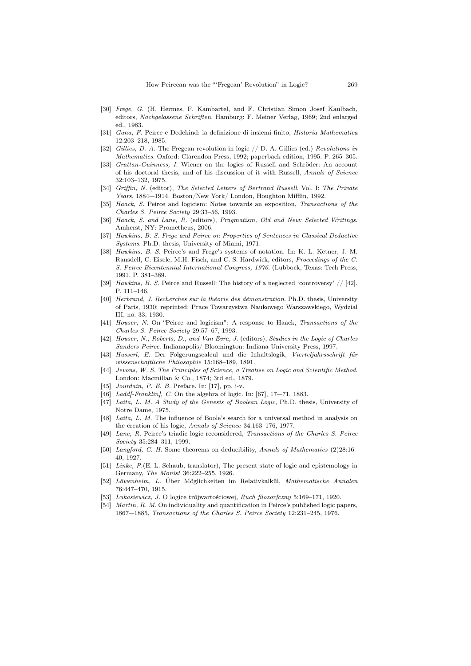- [30] *Frege, G.* (H. Hermes, F. Kambartel, and F. Christian Simon Josef Kaulbach, editors, *Nachgelassene Schriften*. Hamburg: F. Meiner Verlag, 1969; 2nd enlarged ed., 1983.
- [31] *Gana, F.* Peirce e Dedekind: la definizione di insiemi finito, *Historia Mathematica* 12:203–218, 1985.
- [32] *Gillies, D. A.* The Fregean revolution in logic // D. A. Gillies (ed.) *Revolutions in Mathematics*. Oxford: Clarendon Press, 1992; paperback edition, 1995. P. 265–305.
- [33] *Grattan-Guinness, I.* Wiener on the logics of Russell and Schröder: An account of his doctoral thesis, and of his discussion of it with Russell, *Annals of Science* 32:103–132, 1975.
- [34] *Griffin, N.* (editor), *The Selected Letters of Bertrand Russell*, Vol. I: *The Private Years*, 1884—1914. Boston/New York/ London, Houghton Mifflin, 1992.
- [35] *Haack, S.* Peirce and logicism: Notes towards an exposition, *Transactions of the Charles S. Peirce Society* 29:33–56, 1993.
- [36] *Haack, S. and Lane, R.* (editors), *Pragmatism, Old and New: Selected Writings*. Amherst, NY: Prometheus, 2006.
- [37] *Hawkins, B. S. Frege and Peirce on Properties of Sentences in Classical Deductive Systems*. Ph.D. thesis, University of Miami, 1971.
- [38] *Hawkins, B. S.* Peirce's and Frege's systems of notation. In: K. L. Ketner, J. M. Ransdell, C. Eisele, M.H. Fisch, and C. S. Hardwick, editors, *Proceedings of the C. S. Peirce Bicentennial International Congress, 1976*. (Lubbock, Texas: Tech Press, 1991. P. 381–389.
- [39] *Hawkins, B. S.* Peirce and Russell: The history of a neglected 'controversy' // [42]. P. 111–146.
- [40] *Herbrand, J. Recherches sur la théorie des démonstration*. Ph.D. thesis, University of Paris, 1930; reprinted: Prace Towarzystwa Naukowego Warszawskiego, Wydzial III, no. 33, 1930.
- [41] *Houser, N.* On "Peirce and logicism": A response to Haack, *Transactions of the Charles S. Peirce Society* 29:57–67, 1993.
- [42] *Houser, N., Roberts, D., and Van Evra, J.* (editors), *Studies in the Logic of Charles Sanders Peirce*. Indianapolis/ Bloomington: Indiana University Press, 1997.
- [43] *Husserl, E.* Der Folgerungscalcul und die Inhaltslogik, Vierteljahrsschrift für *wissenschaftliche Philosophie* 15:168–189, 1891.
- [44] *Jevons, W. S. The Principles of Science, a Treatise on Logic and Scientific Method*. London: Macmillan & Co., 1874; 3rd ed., 1879.
- [45] *Jourdain, P. E. B.* Preface. In: [17], pp. i-v.
- [46] *Ladd*[-Franklin], C. On the algebra of logic. In: [67], 17-71, 1883.
- [47] *Laita, L. M. A Study of the Genesis of Boolean Logic*, Ph.D. thesis, University of Notre Dame, 1975.
- [48] *Laita, L. M.* The influence of Boole's search for a universal method in analysis on the creation of his logic, *Annals of Science* 34:163–176, 1977.
- [49] *Lane, R.* Peirce's triadic logic reconsidered, *Transactions of the Charles S. Peirce Society* 35:284–311, 1999.
- [50] *Langford, C. H.* Some theorems on deducibility, *Annals of Mathematics* (2)28:16– 40, 1927.
- Linke, P.(E. L. Schaub, translator), The present state of logic and epistemology in Germany, *The Monist* 36:222–255, 1926.
- [52] *L¨owenheim, L.* Uber M¨oglichkeiten im Relativkalk¨ul, ¨ *Mathematische Annalen* 76:447–470, 1915.
- [53] *Lukasiewicz, J.* O logice trójwartościowej, *Ruch filozorfczny* 5:169-171, 1920.
- [54] *Martin, R. M.* On individuality and quantification in Peirce's published logic papers, 1867—1885, *Transactions of the Charles S. Peirce Society* 12:231–245, 1976.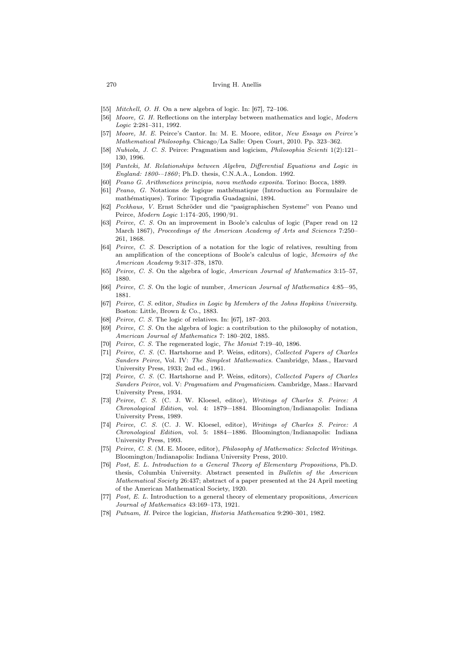#### 270 Irving H. Anellis

- [55] *Mitchell, O. H.* On a new algebra of logic. In: [67], 72–106.
- [56] *Moore, G. H.* Reflections on the interplay between mathematics and logic, *Modern Logic* 2:281–311, 1992.
- [57] *Moore, M. E.* Peirce's Cantor. In: M. E. Moore, editor, *New Essays on Peirce's Mathematical Philosophy*. Chicago/La Salle: Open Court, 2010. Pp. 323–362.
- [58] *Nubiola, J. C. S.* Peirce: Pragmatism and logicism, *Philosophia Scienti* 1(2):121– 130, 1996.
- [59] *Panteki, M. Relationships between Algebra, Differential Equations and Logic in England: 1800-–1860* ; Ph.D. thesis, C.N.A.A., London. 1992.
- [60] *Peano G. Arithmetices principia, nova methodo exposita*. Torino: Bocca, 1889.
- [61] *Peano, G.* Notations de logique math´ematique (Introduction au Formulaire de mathématiques). Torino: Tipografia Guadagnini, 1894.
- [62] *Peckhaus, V.* Ernst Schr¨oder und die "pasigraphischen Systeme" von Peano und Peirce, *Modern Logic* 1:174–205, 1990/91.
- [63] *Peirce, C. S.* On an improvement in Boole's calculus of logic (Paper read on 12 March 1867), *Proceedings of the American Academy of Arts and Sciences* 7:250– 261, 1868.
- [64] *Peirce, C. S.* Description of a notation for the logic of relatives, resulting from an amplification of the conceptions of Boole's calculus of logic, *Memoirs of the American Academy* 9:317–378, 1870.
- [65] *Peirce, C. S.* On the algebra of logic, *American Journal of Mathematics* 3:15–57, 1880.
- [66] *Peirce, C. S.* On the logic of number, *American Journal of Mathematics* 4:85—95, 1881.
- [67] *Peirce, C. S.* editor, *Studies in Logic by Members of the Johns Hopkins University*. Boston: Little, Brown & Co., 1883.
- [68] *Peirce, C. S.* The logic of relatives. In: [67], 187–203.
- [69] *Peirce, C. S.* On the algebra of logic: a contribution to the philosophy of notation, *American Journal of Mathematics* 7: 180–202, 1885.
- [70] *Peirce, C. S.* The regenerated logic, *The Monist* 7:19–40, 1896.
- [71] *Peirce, C. S.* (C. Hartshorne and P. Weiss, editors), *Collected Papers of Charles Sanders Peirce*, Vol. IV: *The Simplest Mathematics*. Cambridge, Mass., Harvard University Press, 1933; 2nd ed., 1961.
- [72] *Peirce, C. S.* (C. Hartshorne and P. Weiss, editors), *Collected Papers of Charles Sanders Peirce*, vol. V: *Pragmatism and Pragmaticism*. Cambridge, Mass.: Harvard University Press, 1934.
- [73] *Peirce, C. S.* (C. J. W. Kloesel, editor), *Writings of Charles S. Peirce: A Chronological Edition*, vol. 4: 1879—1884. Bloomington/Indianapolis: Indiana University Press, 1989.
- [74] *Peirce, C. S.* (C. J. W. Kloesel, editor), *Writings of Charles S. Peirce: A Chronological Edition*, vol. 5: 1884—1886. Bloomington/Indianapolis: Indiana University Press, 1993.
- [75] *Peirce, C. S.* (M. E. Moore, editor), *Philosophy of Mathematics: Selected Writings*. Bloomington/Indianapolis: Indiana University Press, 2010.
- [76] *Post, E. L. Introduction to a General Theory of Elementary Propositions*, Ph.D. thesis, Columbia University. Abstract presented in *Bulletin of the American Mathematical Society* 26:437; abstract of a paper presented at the 24 April meeting of the American Mathematical Society, 1920.
- [77] *Post, E. L.* Introduction to a general theory of elementary propositions, *American Journal of Mathematics* 43:169–173, 1921.
- [78] *Putnam, H.* Peirce the logician, *Historia Mathematica* 9:290–301, 1982.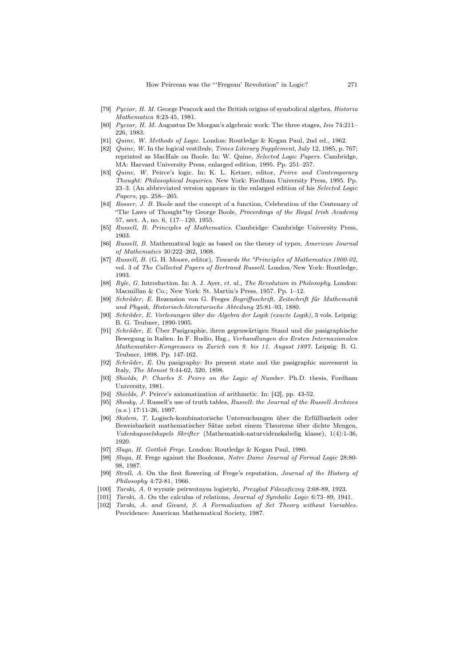- [79] *Pycior, H. M.* George Peacock and the British origins of symbolical algebra, *Historia Mathematica* 8:23-45, 1981.
- [80] *Pycior, H. M.* Augustus De Morgan's algebraic work: The three stages, *Isis* 74:211– 226, 1983.
- [81] *Quine, W. Methods of Logic*. London: Routledge & Kegan Paul, 2nd ed., 1962.
- [82] *Quine, W.* In the logical vestibule, *Times Literary Supplement*, July 12, 1985, p. 767; reprinted as MacHale on Boole. In: W. Quine, *Selected Logic Papers*. Cambridge, MA: Harvard University Press, enlarged edition, 1995. Pp. 251–257.
- [83] *Quine, W.* Peirce's logic. In: K. L. Ketner, editor, *Peirce and Contemporary Thought: Philosophical Inquiries*. New York: Fordham University Press, 1995. Pp. 23–3. (An abbreviated version appears in the enlarged edition of his *Selected Logic Papers*, pp. 258-–265.
- [84] *Rosser, J. B.* Boole and the concept of a function, Celebration of the Centenary of "The Laws of Thought"by George Boole, *Proceedings of the Royal Irish Academy* 57, sect. A, no. 6, 117—120, 1955.
- [85] *Russell, B. Principles of Mathematics*. Cambridge: Cambridge University Press, 1903.
- [86] *Russell, B.* Mathematical logic as based on the theory of types, *American Journal of Mathematics* 30:222–262, 1908.
- [87] *Russell, B.* (G. H. Moore, editor), *Towards the "Principles of Mathematics 1900-02*, vol. 3 of *The Collected Papers of Bertrand Russell*. London/New York: Routledge, 1993.
- [88] *Ryle, G.* Introduction. In: A. J. Ayer, *et. al., The Revolution in Philosophy*. London: Macmillan & Co.; New York: St. Martin's Press, 1957. Pp. 1–12.
- [89] *Schr¨oder, E.* Rezension von G. Freges *Begriffsschrift, Zeitschrift f¨ur Mathematik und Physik, Historisch-literaturische Abteilung* 25:81–93, 1880.
- [90] *Schröder, E. Vorlesungen über die Algebra der Logik (exacte Logik)*, 3 vols. Leipzig: B. G. Teubner, 1890-1905.
- [91] *Schröder, E.* Über Pasigraphie, ihren gegenwärtigen Stand und die pasigraphische Bewegung in Italien. In F. Rudio, Hsg., *Verhandlungen des Ersten Internazionalen Mathematiker-Kongressses in Zurich von 9. bis 11. August 1897.* Leipzig: B. G. Teubner, 1898. Pp. 147-162.
- [92] *Schröder, E.* On pasigraphy: Its present state and the pasigraphic movement in Italy, *The Monist* 9:44-62, 320, 1898.
- [93] *Shields, P. Charles S. Peirce on the Logic of Number.* Ph.D. thesis, Fordham University, 1981.
- [94] *Shields, P.* Peirce's axiomatization of arithmetic. In: [42], pp. 43-52.
- [95] *Shosky, J.* Russell's use of truth tables, *Russell: the Journal of the Russell Archives* (n.s.) 17:11-26, 1997.
- [96] *Skolem, T.* Logisch-kombinatorische Untersuchungen über die Erfüllbarkeit oder Beweisbarkeit mathematischer Sätze nebst einem Theoreme über dichte Mengen, *Videnkapsselskapels Skrifter* (Mathematisk-naturvidenskabelig klasse), 1(4):1-36, 1920.
- [97] *Sluga, H. Gottlob Frege.* London: Routledge & Kegan Paul, 1980.
- [98] *Sluga, H.* Frege against the Booleans, *Notre Dame Journal of Formal Logic* 28:80- 98, 1987.
- [99] *Stroll, A.* On the first flowering of Frege's reputation, *Journal of the History of Philosophy* 4:72-81, 1966.
- [100] *Tarski, A.* 0 wyrszie peirwotnym logistyki, *Prezglad Filozoficzny* 2:68-89, 1923.
- [101] *Tarski, A.* On the calculus of relations, *Journal of Symbolic Logic* 6:73–89, 1941.
- [102] *Tarski, A. and Givant, S. A Formalization of Set Theory without Variables.* Providence: American Mathematical Society, 1987.